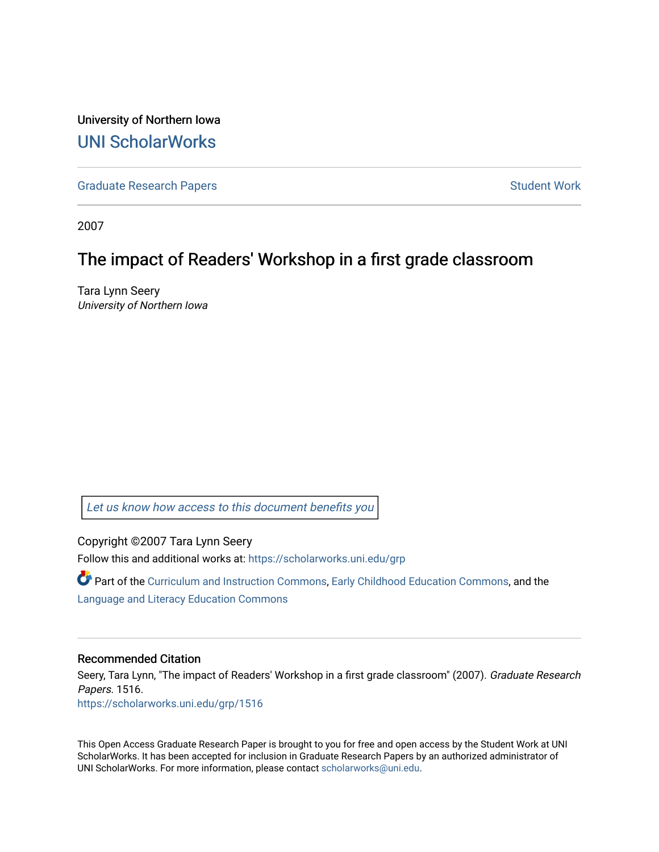University of Northern Iowa [UNI ScholarWorks](https://scholarworks.uni.edu/) 

[Graduate Research Papers](https://scholarworks.uni.edu/grp) **Student Work** Student Work

2007

## The impact of Readers' Workshop in a first grade classroom

Tara Lynn Seery University of Northern Iowa

[Let us know how access to this document benefits you](https://scholarworks.uni.edu/feedback_form.html) 

Copyright ©2007 Tara Lynn Seery

Follow this and additional works at: [https://scholarworks.uni.edu/grp](https://scholarworks.uni.edu/grp?utm_source=scholarworks.uni.edu%2Fgrp%2F1516&utm_medium=PDF&utm_campaign=PDFCoverPages) 

Part of the [Curriculum and Instruction Commons,](http://network.bepress.com/hgg/discipline/786?utm_source=scholarworks.uni.edu%2Fgrp%2F1516&utm_medium=PDF&utm_campaign=PDFCoverPages) [Early Childhood Education Commons,](http://network.bepress.com/hgg/discipline/1377?utm_source=scholarworks.uni.edu%2Fgrp%2F1516&utm_medium=PDF&utm_campaign=PDFCoverPages) and the [Language and Literacy Education Commons](http://network.bepress.com/hgg/discipline/1380?utm_source=scholarworks.uni.edu%2Fgrp%2F1516&utm_medium=PDF&utm_campaign=PDFCoverPages) 

#### Recommended Citation

Seery, Tara Lynn, "The impact of Readers' Workshop in a first grade classroom" (2007). Graduate Research Papers. 1516.

[https://scholarworks.uni.edu/grp/1516](https://scholarworks.uni.edu/grp/1516?utm_source=scholarworks.uni.edu%2Fgrp%2F1516&utm_medium=PDF&utm_campaign=PDFCoverPages) 

This Open Access Graduate Research Paper is brought to you for free and open access by the Student Work at UNI ScholarWorks. It has been accepted for inclusion in Graduate Research Papers by an authorized administrator of UNI ScholarWorks. For more information, please contact [scholarworks@uni.edu.](mailto:scholarworks@uni.edu)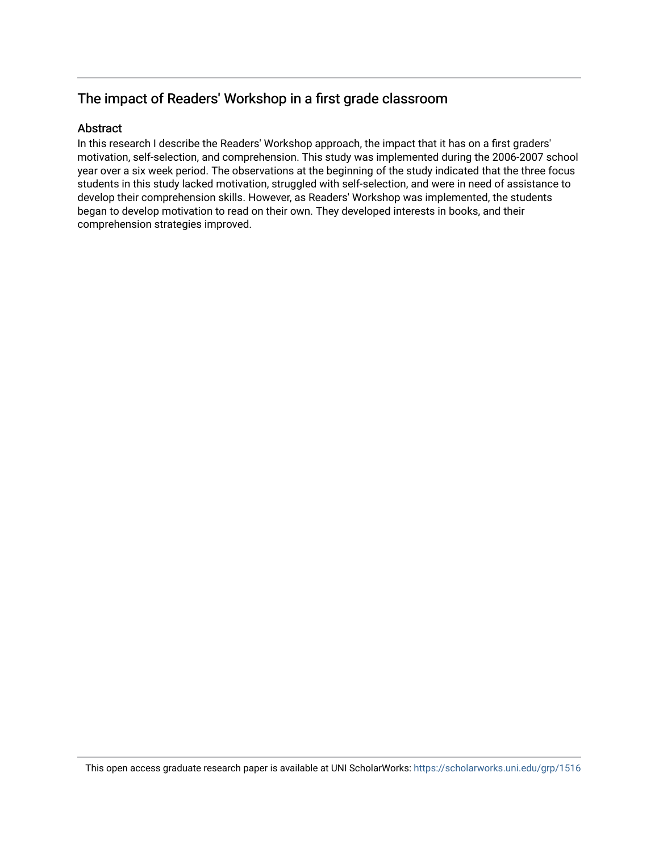## The impact of Readers' Workshop in a first grade classroom

#### Abstract

In this research I describe the Readers' Workshop approach, the impact that it has on a first graders' motivation, self-selection, and comprehension. This study was implemented during the 2006-2007 school year over a six week period. The observations at the beginning of the study indicated that the three focus students in this study lacked motivation, struggled with self-selection, and were in need of assistance to develop their comprehension skills. However, as Readers' Workshop was implemented, the students began to develop motivation to read on their own. They developed interests in books, and their comprehension strategies improved.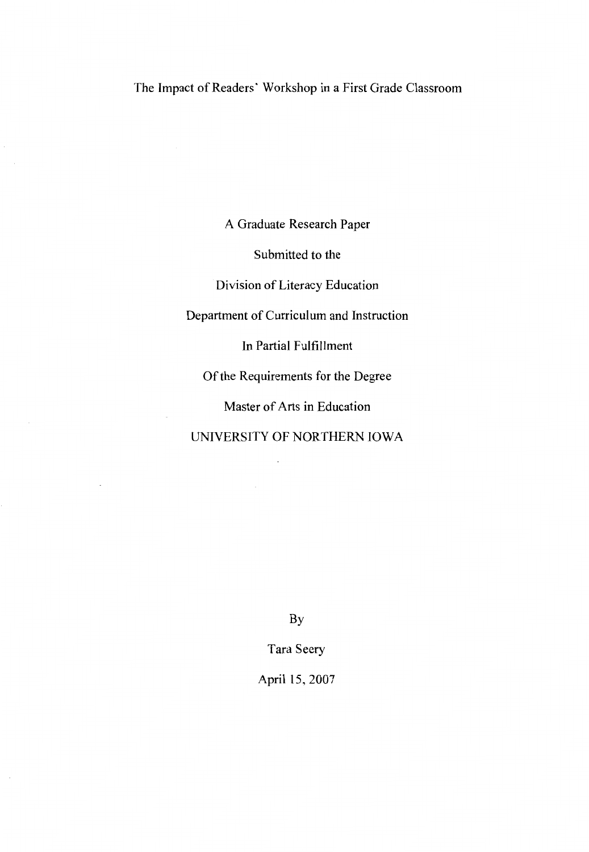A Graduate Research Paper

Submitted to the

Division of Literacy Education

Department of Curriculum and Instruction

In Partial Fulfillment

Of the Requirements for the Degree

Master of Arts in Education

UNIVERSITY OF NORTHERN IOWA

 $\cdot$ 

By

Tara Seery

April 15, 2007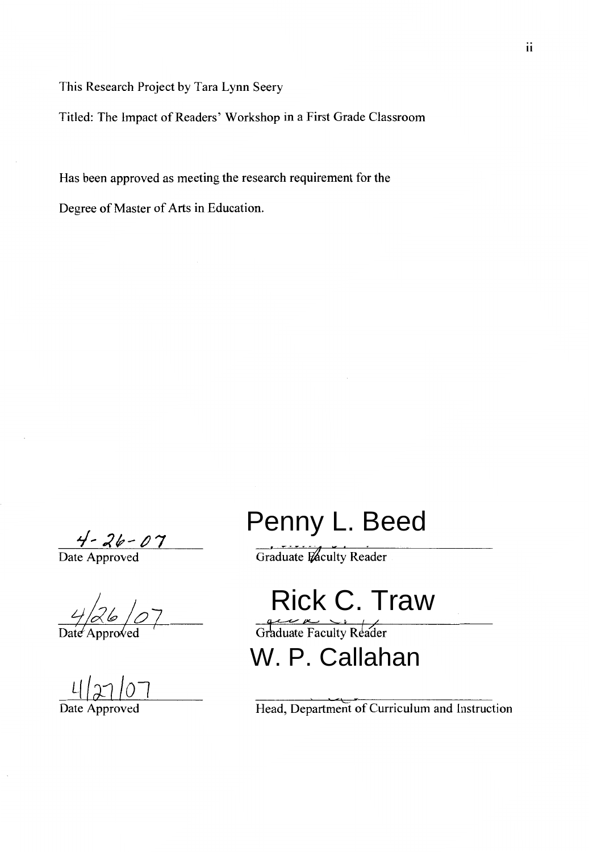This Research Project by Tara Lynn Seery

Titled: The Impact of Readers' Workshop in a First Grade Classroom

Has been approved as meeting the research requirement for the

Degree of Master of Arts in Education.

 $\frac{4-26-07}{\text{Date Approach}}$ 

q *1~1* /01

# Penny L. Beed

Graduate Faculty Reader

Rick C. Traw

Graduate Faculty Reader

W. P. Callahan

Date Approved Head, Department of Curriculum and Instruction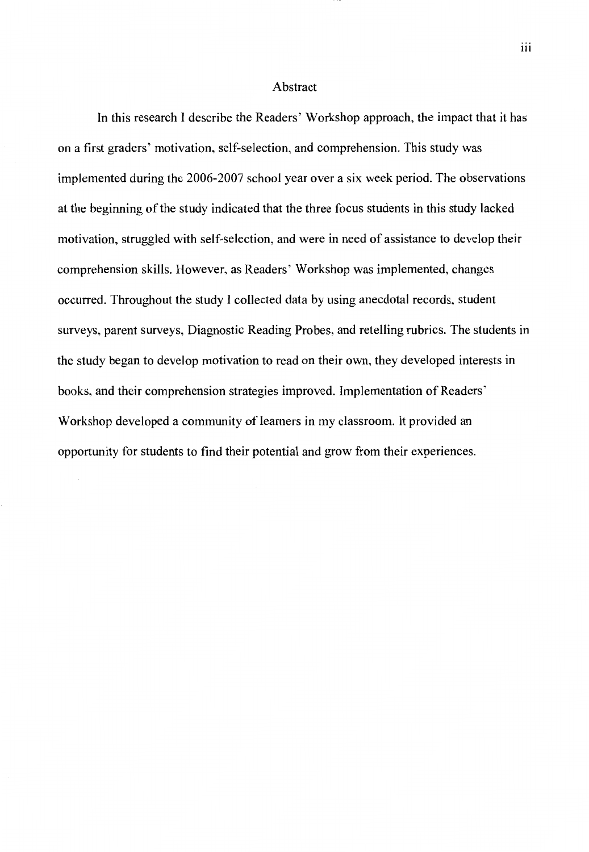#### Abstract

In this research I describe the Readers' Workshop approach, the impact that it has on a first graders' motivation, self-selection, and comprehension. This study was implemented during the 2006-2007 school year over a six week period. The observations at the beginning of the study indicated that the three focus students in this study lacked motivation, struggled with self-selection, and were in need of assistance to develop their comprehension skills. However, as Readers' Workshop was implemented, changes occurred. Throughout the study I collected data by using anecdotal records, student surveys, parent surveys, Diagnostic Reading Probes, and retelling rubrics. The students in the study began to develop motivation to read on their own, they developed interests in books, and their comprehension strategies improved. Implementation of Readers' Workshop developed a community of learners in my classroom. It provided an opportunity for students to find their potential and grow from their experiences.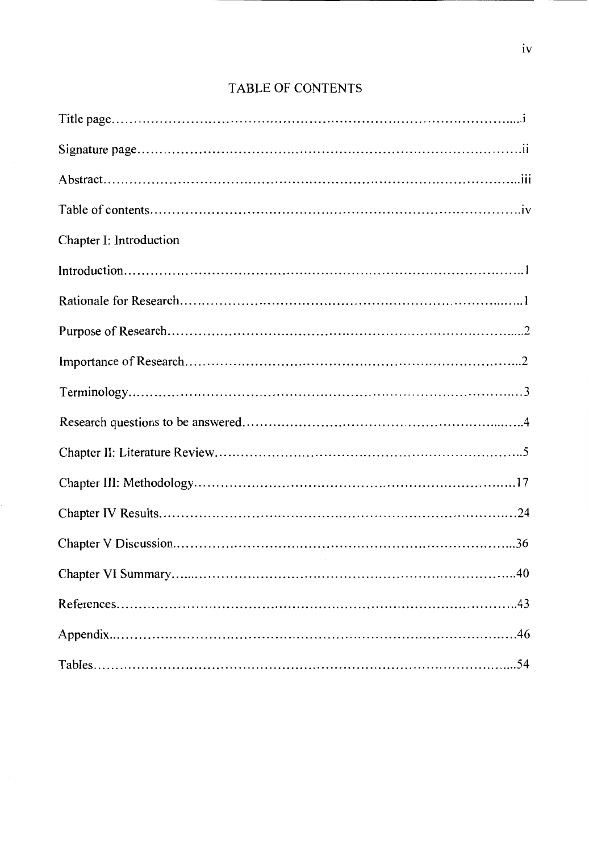## **TABLE OF CONTENTS**

| Chapter I: Introduction |
|-------------------------|
|                         |
|                         |
|                         |
|                         |
|                         |
|                         |
|                         |
|                         |
|                         |
|                         |
|                         |
|                         |
|                         |
|                         |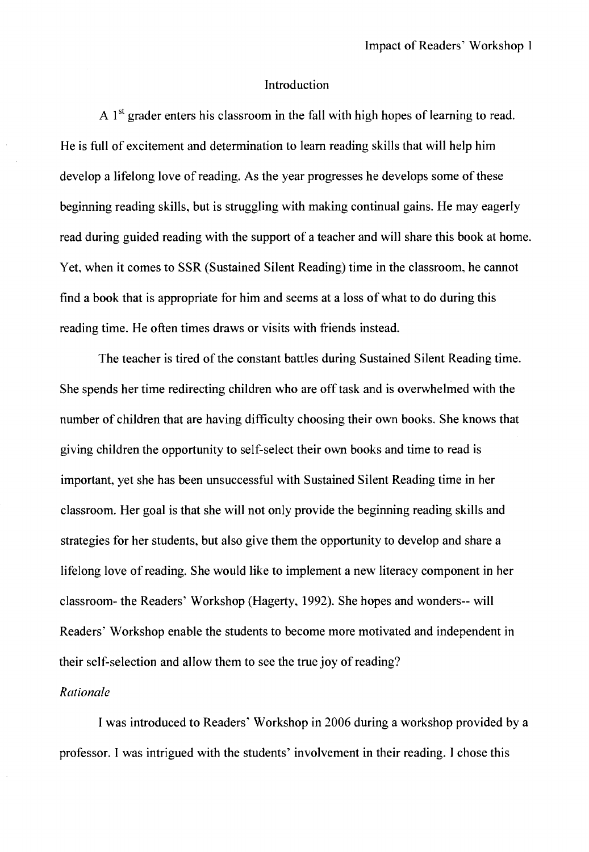#### Introduction

A  $1<sup>st</sup>$  grader enters his classroom in the fall with high hopes of learning to read. He is full of excitement and determination to learn reading skills that will help him develop a lifelong love of reading. As the year progresses he develops some of these beginning reading skills, but is struggling with making continual gains. He may eagerly read during guided reading with the support of a teacher and will share this book at home. Yet, when it comes to SSR (Sustained Silent Reading) time in the classroom, he cannot find a book that is appropriate for him and seems at a loss of what to do during this reading time. He often times draws or visits with friends instead.

The teacher is tired of the constant battles during Sustained Silent Reading time. She spends her time redirecting children who are off task and is overwhelmed with the number of children that are having difficulty choosing their own books. She knows that giving children the opportunity to self-select their own books and time to read is important, yet she has been unsuccessful with Sustained Silent Reading time in her classroom. Her goal is that she will not only provide the beginning reading skills and strategies for her students, but also give them the opportunity to develop and share a lifelong love of reading. She would like to implement a new literacy component in her classroom- the Readers' Workshop (Hagerty, 1992). She hopes and wonders-- will Readers' Workshop enable the students to become more motivated and independent in their self-selection and allow them to see the true joy of reading?

#### *Rationale*

I was introduced to Readers' Workshop in 2006 during a workshop provided by a professor. I was intrigued with the students' involvement in their reading. I chose this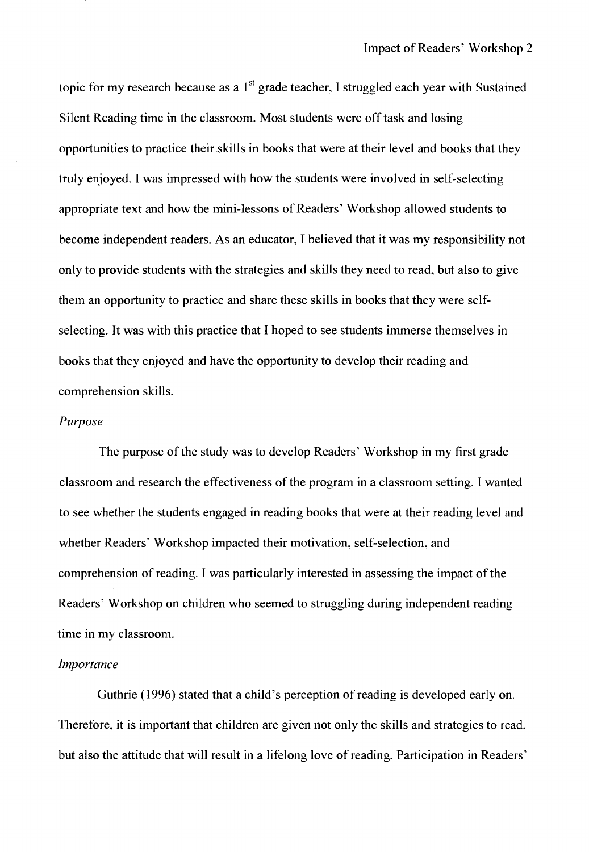topic for my research because as a  $1<sup>st</sup>$  grade teacher, I struggled each year with Sustained Silent Reading time in the classroom. Most students were off task and losing opportunities to practice their skills in books that were at their level and books that they truly enjoyed. I was impressed with how the students were involved in self-selecting appropriate text and how the mini-lessons of Readers' Workshop allowed students to become independent readers. As an educator, I believed that it was my responsibility not only to provide students with the strategies and skills they need to read, but also to give them an opportunity to practice and share these skills in books that they were selfselecting. It was with this practice that I hoped to see students immerse themselves in books that they enjoyed and have the opportunity to develop their reading and comprehension skills.

#### *Purpose*

The purpose of the study was to develop Readers' Workshop in my first grade classroom and research the effectiveness of the program in a classroom setting. I wanted to see whether the students engaged in reading books that were at their reading level and whether Readers' Workshop impacted their motivation, self-selection, and comprehension of reading. I was particularly interested in assessing the impact of the Readers' Workshop on children who seemed to struggling during independent reading time in my classroom.

#### *Importance*

Guthrie (1996) stated that a child's perception ofreading is developed early on. Therefore, it is important that children are given not only the skills and strategies to read. but also the attitude that will result in a lifelong love of reading. Participation in Readers'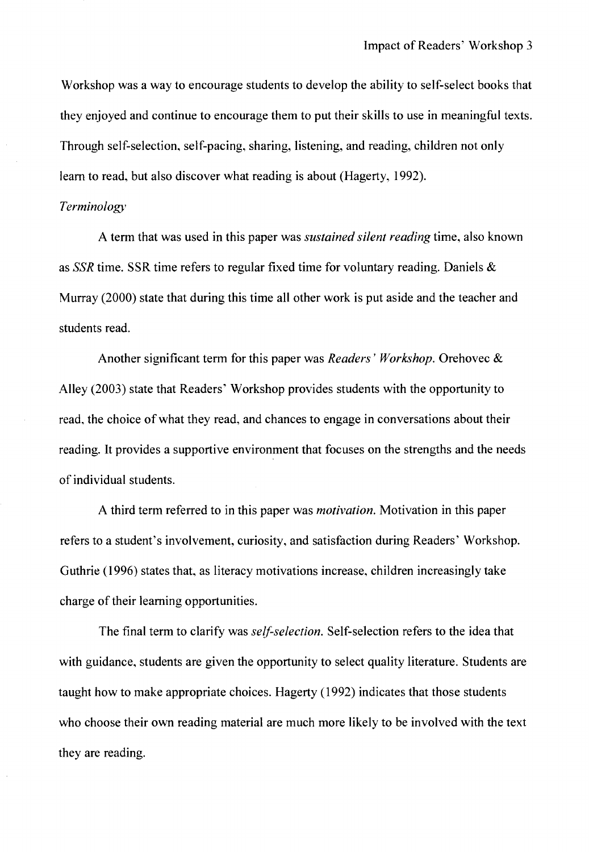Workshop was a way to encourage students to develop the ability to self-select books that they enjoyed and continue to encourage them to put their skills to use in meaningful texts. Through self-selection, self-pacing, sharing, listening, and reading, children not only learn to read, but also discover what reading is about (Hagerty, 1992).

#### *Terminology*

A term that was used in this paper was *sustained silent reading* time, also known as SSR time. SSR time refers to regular fixed time for voluntary reading. Daniels & Murray (2000) state that during this time all other work is put aside and the teacher and students read.

Another significant term for this paper was *Readers' Workshop.* Orehovec & Alley (2003) state that Readers' Workshop provides students with the opportunity to read, the choice of what they read, and chances to engage in conversations about their reading. It provides a supportive environment that focuses on the strengths and the needs of individual students.

A third term referred to in this paper was *motivation.* Motivation in this paper refers to a student's involvement, curiosity, and satisfaction during Readers' Workshop. Guthrie ( 1996) states that, as literacy motivations increase, children increasingly take charge of their learning opportunities.

The final term to clarify was *self-selection*. Self-selection refers to the idea that with guidance, students are given the opportunity to select quality literature. Students are taught how to make appropriate choices. Hagerty (1992) indicates that those students who choose their own reading material are much more likely to be involved with the text they are reading.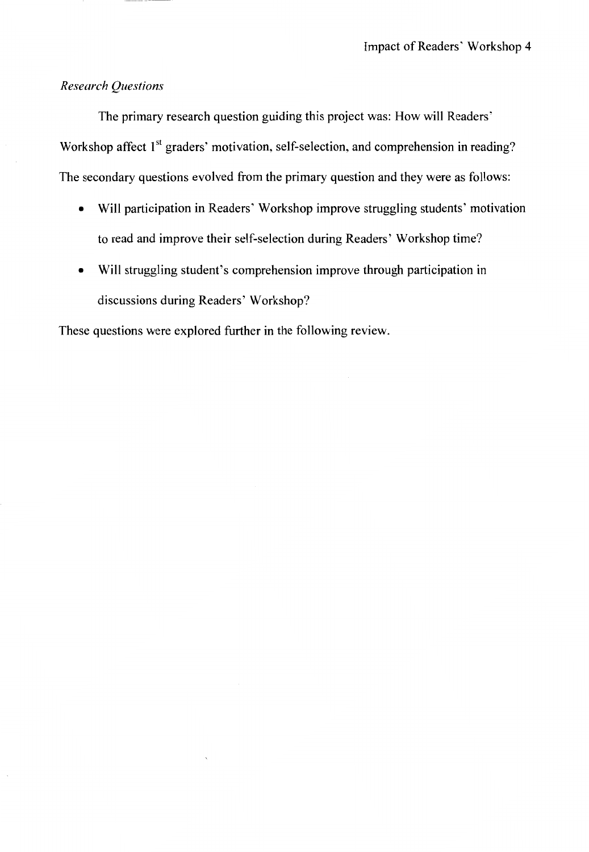## *Research Questions*

The primary research question guiding this project was: How will Readers' Workshop affect 1<sup>st</sup> graders' motivation, self-selection, and comprehension in reading? The secondary questions evolved from the primary question and they were as follows:

- Will participation in Readers' Workshop improve struggling students' motivation to read and improve their self-selection during Readers' Workshop time?
- Will struggling student's comprehension improve through participation in discussions during Readers' Workshop?

These questions were explored further in the following review.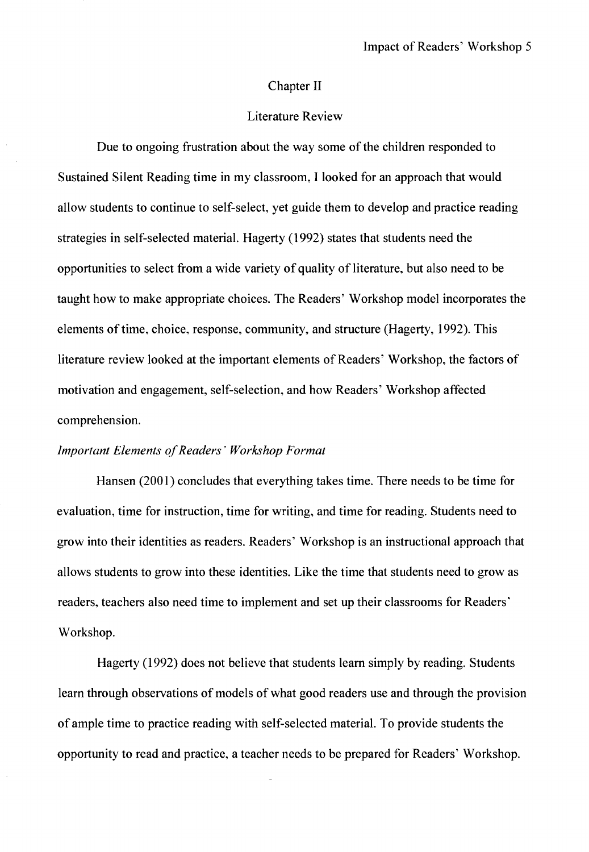#### Chapter II

#### Literature Review

Due to ongoing frustration about the way some of the children responded to Sustained Silent Reading time in my classroom, I looked for an approach that would allow students to continue to self-select, yet guide them to develop and practice reading strategies in self-selected material. Hagerty (1992) states that students need the opportunities to select from a wide variety of quality of literature, but also need to be taught how to make appropriate choices. The Readers' Workshop model incorporates the elements of time, choice, response, community, and structure (Hagerty, 1992). This literature review looked at the important elements of Readers' Workshop, the factors of motivation and engagement, self-selection, and how Readers' Workshop affected comprehension.

#### *Important Elements of Readers' Workshop Format*

Hansen (2001) concludes that everything takes time. There needs to be time for evaluation, time for instruction, time for writing, and time for reading. Students need to grow into their identities as readers. Readers' Workshop is an instructional approach that allows students to grow into these identities. Like the time that students need to grow as readers, teachers also need time to implement and set up their classrooms for Readers' Workshop.

Hagerty (1992) does not believe that students learn simply by reading. Students learn through observations of models of what good readers use and through the provision of ample time to practice reading with self-selected material. To provide students the opportunity to read and practice, a teacher needs to be prepared for Readers' Workshop.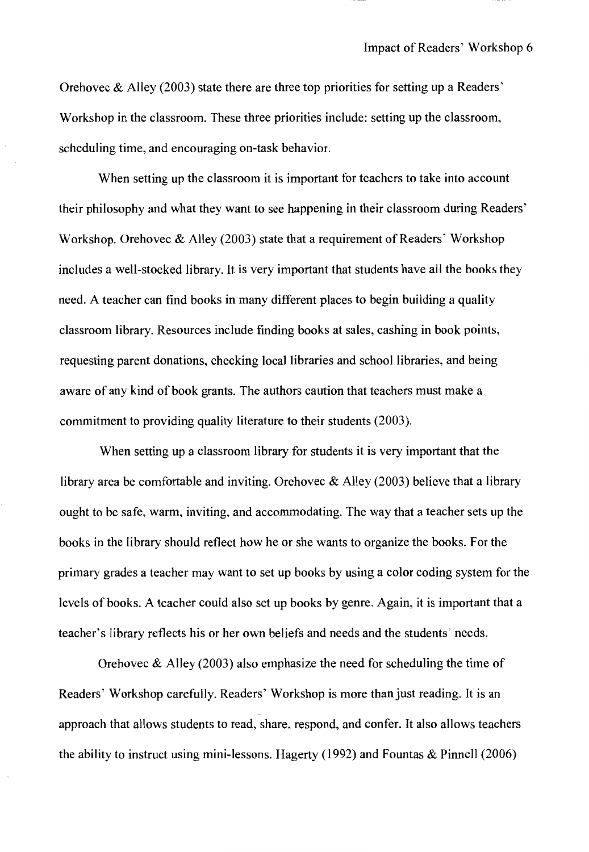Orehovec & Alley (2003) state there are three top priorities for setting up a Readers' Workshop in the classroom. These three priorities include: setting up the classroom, scheduling time, and encouraging on-task behavior.

When setting up the classroom it is important for teachers to take into account their philosophy and what they want to see happening in their classroom during Readers' Workshop. Orehovec  $\&$  Alley (2003) state that a requirement of Readers' Workshop includes a well-stocked library. It is very important that students have all the books they need. A teacher can find books in many different places to begin building a quality classroom library. Resources include finding books at sales, cashing in book points, requesting parent donations, checking local libraries and school libraries, and being aware of any kind of book grants. The authors caution that teachers must make a commitment to providing quality literature to their students (2003).

When setting up a classroom library for students it is very important that the library area be comfortable and inviting. Orehovec  $\&$  Alley (2003) believe that a library ought to be safe, warm, inviting, and accommodating. The way that a teacher sets up the books in the library should reflect how he or she wants to organize the books. For the primary grades a teacher may want to set up books by using a color coding system for the levels of books. A teacher could also set up books by genre. Again, it is important that a teacher's library reflects his or her own beliefs and needs and the students' needs.

Orehovec & Alley (2003) also emphasize the need for scheduling the time of Readers' Workshop carefully. Readers' Workshop is more than just reading. It is an approach that allows students to read, share, respond, and confer. It also allows teachers the ability to instruct using mini-lessons. Hagerty (1992) and Fountas & Pinnell (2006)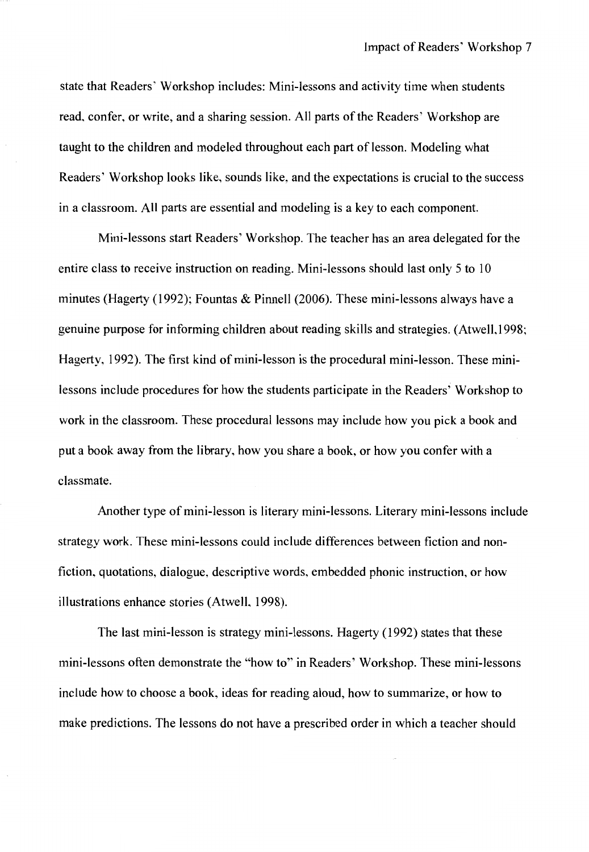state that Readers' Workshop includes: Mini-lessons and activity time when students read, confer, or write, and a sharing session. All parts of the Readers' Workshop are taught to the children and modeled throughout each part of lesson. Modeling what Readers' Workshop looks like, sounds like, and the expectations is crucial to the success in a classroom. All parts are essential and modeling is a key to each component.

Mini-lessons start Readers' Workshop. The teacher has an area delegated for the entire class to receive instruction on reading. Mini-lessons should last only 5 to 10 minutes (Hagerty (1992); Fountas & Pinnell (2006). These mini-lessons always have a genuine purpose for informing children about reading skills and strategies. (Atwell, 1998; Hagerty, 1992). The first kind of mini-lesson is the procedural mini-lesson. These minilessons include procedures for how the students participate in the Readers' Workshop to work in the classroom. These procedural lessons may include how you pick a book and put a book away from the library, how you share a book, or how you confer with a classmate.

Another type of mini-lesson is literary mini-lessons. Literary mini-lessons include strategy work. These mini-lessons could include differences between fiction and nonfiction, quotations, dialogue, descriptive words, embedded phonic instruction, or how illustrations enhance stories (Atwell, 1998).

The last mini-lesson is strategy mini-lessons. Hagerty (1992) states that these mini-lessons often demonstrate the "how to'' in Readers' Workshop. These mini-lessons include how to choose a book, ideas for reading aloud, how to summarize, or how to make predictions. The lessons do not have a prescribed order in which a teacher should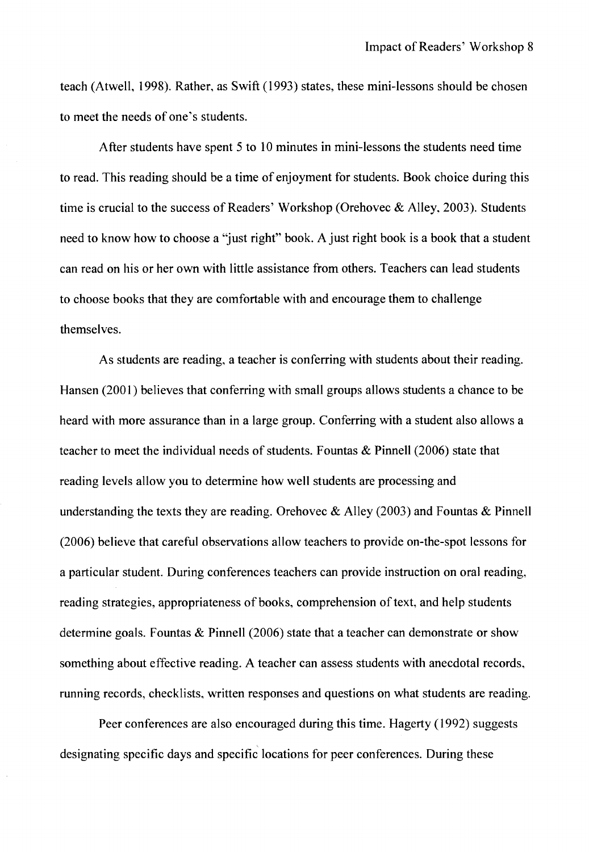teach (Atwell, 1998). Rather, as Swift (1993) states, these mini-lessons should be chosen to meet the needs of one's students.

After students have spent 5 to 10 minutes in mini-lessons the students need time to read. This reading should be a time of enjoyment for students. Book choice during this time is crucial to the success of Readers' Workshop (Orehovec & Alley, 2003). Students need to know how to choose a ''just right" book. A just right book is a book that a student can read on his or her own with little assistance from others. Teachers can lead students to choose books that they are comfortable with and encourage them to challenge themselves.

As students are reading, a teacher is conferring with students about their reading. Hansen (2001) believes that conferring with small groups allows students a chance to be heard with more assurance than in a large group. Conferring with a student also allows a teacher to meet the individual needs of students. Fountas  $\&$  Pinnell (2006) state that reading levels allow you to determine how well students are processing and understanding the texts they are reading. Orehovec & Alley (2003) and Fountas & Pinnell (2006) believe that careful observations allow teachers to provide on-the-spot lessons for a particular student. During conferences teachers can provide instruction on oral reading, reading strategies, appropriateness of books, comprehension of text, and help students determine goals. Fountas & Pinnell (2006) state that a teacher can demonstrate or show something about effective reading. A teacher can assess students with anecdotal records, running records, checklists, written responses and questions on what students are reading.

Peer conferences are also encouraged during this time. Hagerty (1992) suggests designating specific days and specific locations for peer conferences. During these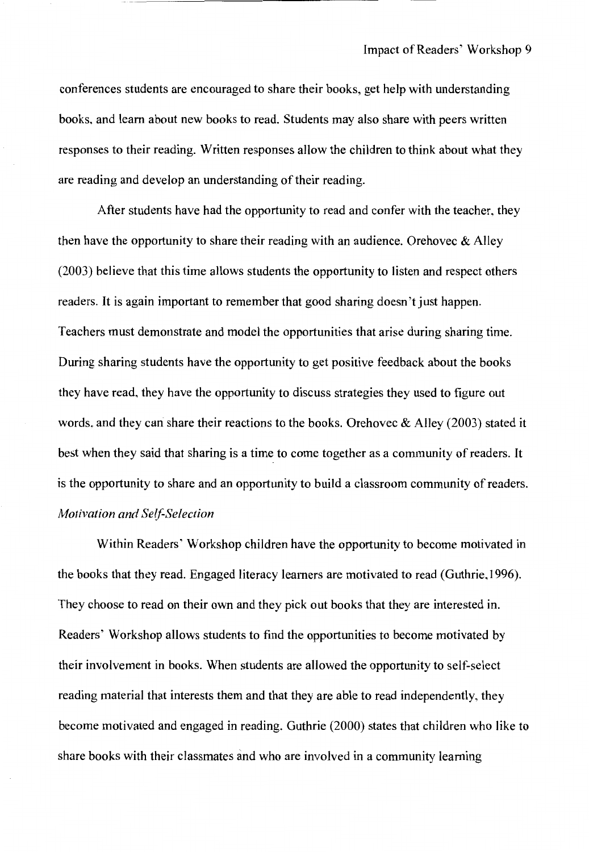conferences students are encouraged to share their books, get help with understanding books, and learn about new books to read. Students may also share with peers written responses to their reading. Written responses allow the children to think about what they are reading and develop an understanding of their reading.

After students have had the opportunity to read and confer with the teacher, they then have the opportunity to share their reading with an audience. Orehovec  $\&$  Alley (2003) believe that this time allows students the opportunity to listen and respect others readers. It is again important to remember that good sharing doesn't just happen. Teachers must demonstrate and model the opportunities that arise during sharing time. During sharing students have the opportunity to get positive feedback about the books they have read, they have the opportunity to discuss strategies they used to figure out words, and they can share their reactions to the books. Orehovec & Alley (2003) stated it best when they said that sharing is a time to come together as a community of readers. It is the opportunity to share and an opportunity to build a classroom community of readers. *Motivation and Self-Selection* 

Within Readers' Workshop children have the opportunity to become motivated in the books that they read. Engaged literacy learners are motivated to read (Guthrie, 1996). They choose to read on their own and they pick out books that they are interested in. Readers' Workshop allows students to find the opportunities to become motivated by their involvement in books. When students are allowed the opportunity to self-select reading material that interests them and that they are able to read independently, they become motivated and engaged in reading. Guthrie (2000) states that children who like to share books with their classmates and who are involved in a community learning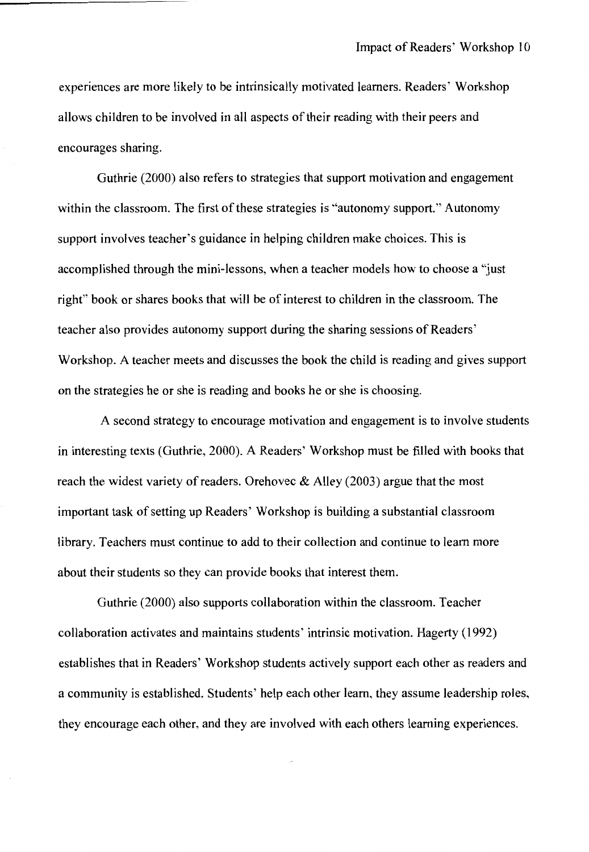experiences are more likely to be intrinsically motivated learners. Readers' Workshop allows children to be involved in all aspects of their reading with their peers and encourages sharing.

Guthrie (2000) also refers to strategies that support motivation and engagement within the classroom. The first of these strategies is "autonomy support." Autonomy support involves teacher's guidance in helping children make choices. This is accomplished through the mini-lessons, when a teacher models how to choose a "just right" book or shares books that will be of interest to children in the classroom. The teacher also provides autonomy support during the sharing sessions of Readers' Workshop. A teacher meets and discusses the book the child is reading and gives support on the strategies he or she is reading and books he or she is choosing.

A second strategy to encourage motivation and engagement is to involve students in interesting texts (Guthrie, 2000). A Readers' Workshop must be filled with books that reach the widest variety of readers. Orehovec  $\&$  Alley (2003) argue that the most important task of setting up Readers' Workshop is building a substantial classroom library. Teachers must continue to add to their collection and continue to learn more about their students so they can provide books that interest them.

Guthrie (2000) also supports collaboration within the classroom. Teacher collaboration activates and maintains students' intrinsic motivation. Hagerty (1992) establishes that in Readers' Workshop students actively support each other as readers and a community is established. Students' help each other learn, they assume leadership roles, they encourage each other, and they are involved with each others learning experiences.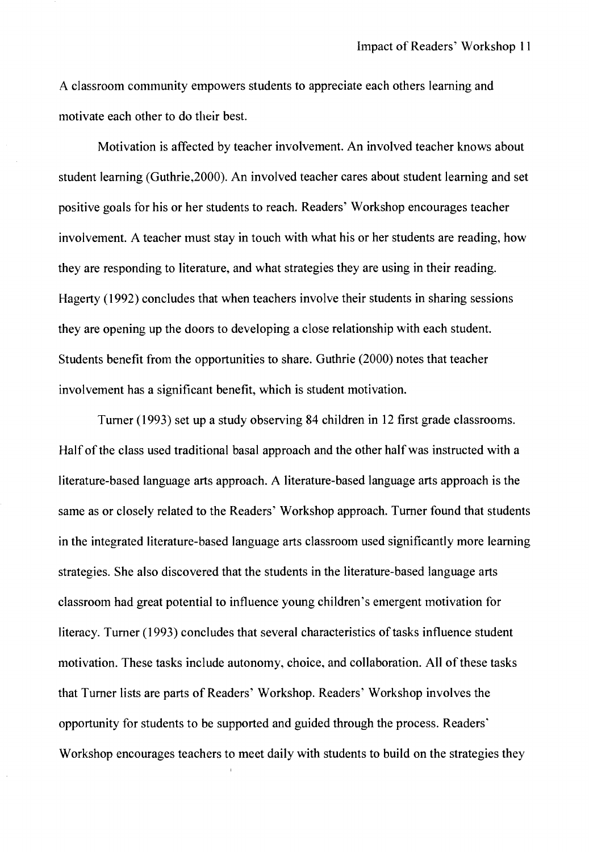A classroom community empowers students to appreciate each others learning and motivate each other to do their best.

Motivation is affected by teacher involvement. An involved teacher knows about student learning (Guthrie,2000). An involved teacher cares about student learning and set positive goals for his or her students to reach. Readers' Workshop encourages teacher involvement. A teacher must stay in touch with what his or her students are reading, how they are responding to literature, and what strategies they are using in their reading. Hagerty (1992) concludes that when teachers involve their students in sharing sessions they are opening up the doors to developing a close relationship with each student. Students benefit from the opportunities to share. Guthrie (2000) notes that teacher involvement has a significant benefit, which is student motivation.

Turner (1993) set up a study observing 84 children in 12 first grade classrooms. Half of the class used traditional basal approach and the other half was instructed with a literature-based language arts approach. A literature-based language arts approach is the same as or closely related to the Readers' Workshop approach. Turner found that students in the integrated literature-based language arts classroom used significantly more learning strategies. She also discovered that the students in the literature-based language arts classroom had great potential to influence young children's emergent motivation for literacy. Turner (1993) concludes that several characteristics of tasks influence student motivation. These tasks include autonomy, choice, and collaboration. All of these tasks that Turner lists are parts of Readers' Workshop. Readers' Workshop involves the opportunity for students to be supported and guided through the process. Readers' Workshop encourages teachers to meet daily with students to build on the strategies they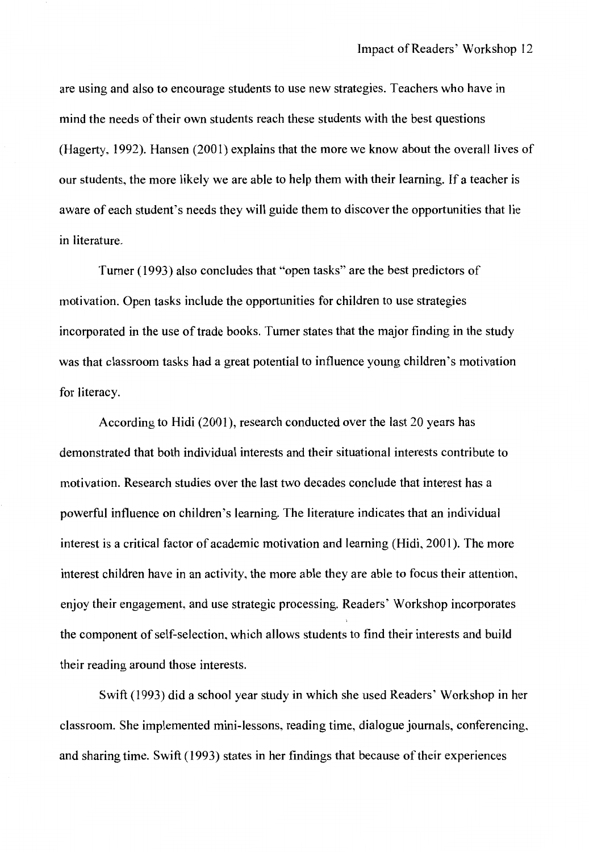are using and also to encourage students to use new strategies. Teachers who have in mind the needs of their own students reach these students with the best questions (Hagerty, 1992). Hansen (2001) explains that the more we know about the overall lives of our students, the more likely we are able to help them with their learning. If a teacher is aware of each student's needs they will guide them to discover the opportunities that lie in literature.

Turner (1993) also concludes that "open tasks" are the best predictors of motivation. Open tasks include the opportunities for children to use strategies incorporated in the use of trade books. Turner states that the major finding in the study was that classroom tasks had a great potential to influence young children's motivation for literacy.

According to Hidi (2001), research conducted over the last 20 years has demonstrated that both individual interests and their situational interests contribute to motivation. Research studies over the last two decades conclude that interest has a powerful influence on children's learning. The literature indicates that an individual interest is a critical factor of academic motivation and learning (Hidi, 2001). The more interest children have in an activity, the more able they are able to focus their attention, enjoy their engagement, and use strategic processing. Readers' Workshop incorporates the component of self-selection, which allows students to find their interests and build their reading around those interests.

Swift (1993) did a school year study in which she used Readers' Workshop in her classroom. She implemented mini-lessons, reading time, dialogue journals, conferencing, and sharing time. Swift (1993) states in her findings that because of their experiences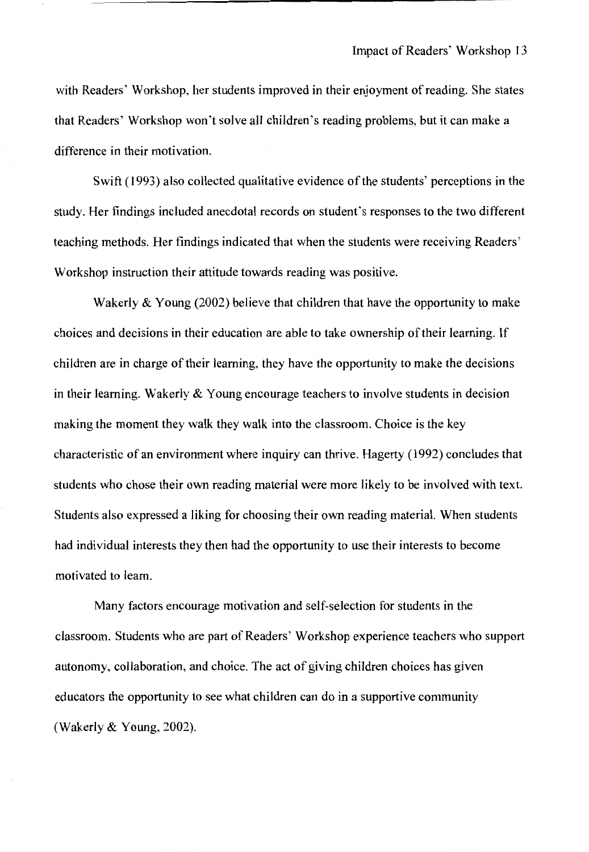with Readers' Workshop, her students improved in their enjoyment of reading. She states that Readers' Workshop won't solve all children's reading problems, but it can make a difference in their motivation.

Swift (1993) also collected qualitative evidence of the students' perceptions in the study. Her findings included anecdotal records on student's responses to the two different teaching methods. Her findings indicated that when the students were receiving Readers' Workshop instruction their attitude towards reading was positive.

Wakerly & Young (2002) believe that children that have the opportunity to make choices and decisions in their education are able to take ownership of their learning. If children are in charge of their learning, they have the opportunity to make the decisions in their learning. Wakerly & Young encourage teachers to involve students in decision making the moment they walk they walk into the classroom. Choice is the key characteristic of an environment where inquiry can thrive. Hagerty (1992) concludes that students who chose their own reading material were more likely to be involved with text. Students also expressed a liking for choosing their own reading material. When students had individual interests they then had the opportunity to use their interests to become motivated to learn.

Many factors encourage motivation and self-selection for students in the classroom. Students who are part of Readers' Workshop experience teachers who support autonomy, collaboration, and choice. The act of giving children choices has given educators the opportunity to see what children can do in a supportive community (Wakerly & Young, 2002).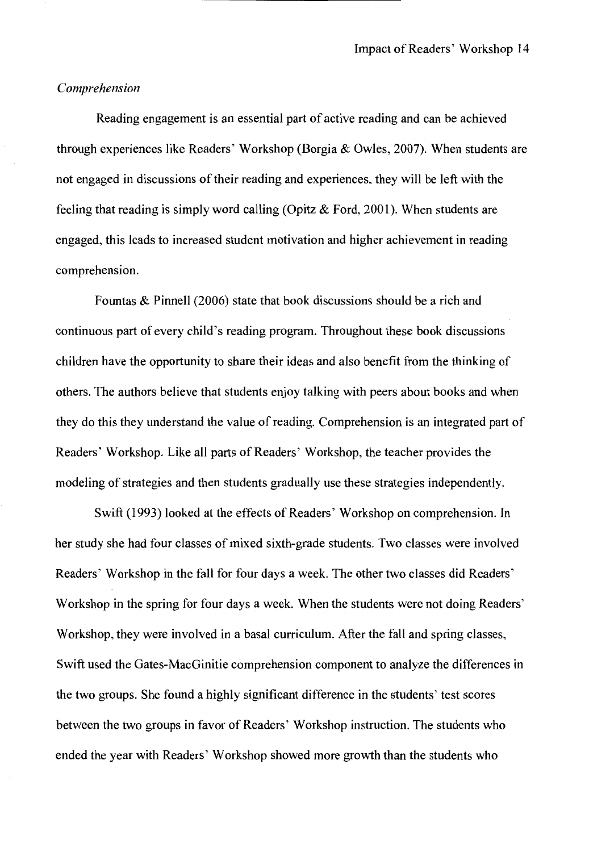#### *Comprehension*

Reading engagement is an essential part of active reading and can be achieved through experiences like Readers' Workshop (Borgia  $&$  Owles, 2007). When students are not engaged in discussions of their reading and experiences, they will be left with the feeling that reading is simply word calling (Opitz & Ford, 2001). When students are engaged, this leads to increased student motivation and higher achievement in reading comprehension.

Fountas & Pinnell (2006) state that book discussions should be a rich and continuous part of every child's reading program. Throughout these book discussions children have the opportunity to share their ideas and also benefit from the thinking of others. The authors believe that students enjoy talking with peers about books and when they do this they understand the value of reading. Comprehension is an integrated part of Readers' Workshop. Like all parts of Readers' Workshop, the teacher provides the modeling of strategies and then students gradually use these strategies independently.

Swift (1993) looked at the effects of Readers' Workshop on comprehension. In her study she had four classes of mixed sixth-grade students. Two classes were involved Readers' Workshop in the fall for four days a week. The other two classes did Readers' Workshop in the spring for four days a week. When the students were not doing Readers' Workshop, they were involved in a basal curriculum. After the fall and spring classes, Swift used the Gates-MacGinitie comprehension component to analyze the differences in the two groups. She found a highly significant difference in the students' test scores between the two groups in favor of Readers' Workshop instruction. The students who ended the year with Readers' Workshop showed more growth than the students who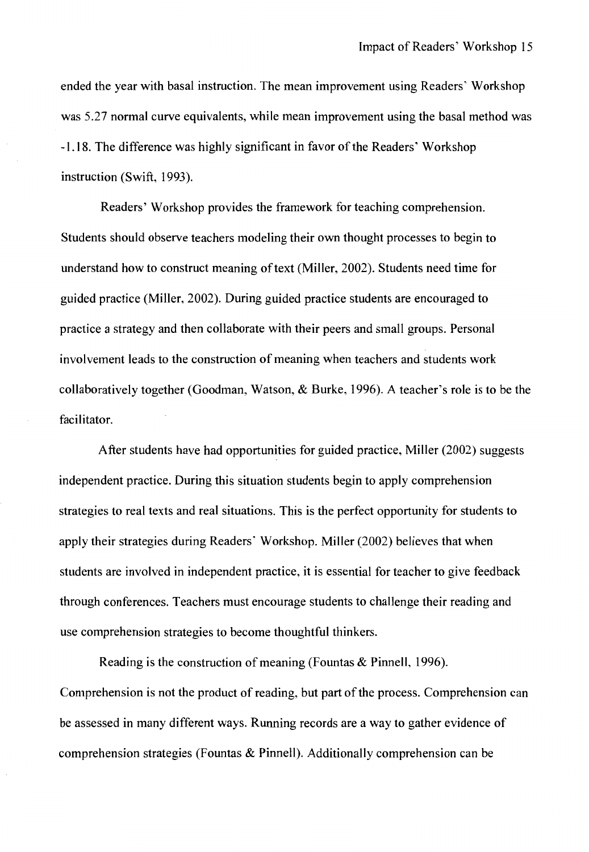ended the year with basal instruction. The mean improvement using Readers' Workshop was 5.27 normal curve equivalents, while mean improvement using the basal method was -1.18. The difference was highly significant in favor of the Readers' Workshop instruction (Swift, 1993).

Readers' Workshop provides the framework for teaching comprehension. Students should observe teachers modeling their own thought processes to begin to understand how to construct meaning of text (Miller, 2002). Students need time for guided practice (Miller, 2002). During guided practice students are encouraged to practice a strategy and then collaborate with their peers and small groups. Personal involvement leads to the construction of meaning when teachers and students work collaboratively together (Goodman, Watson, & Burke, 1996). A teacher's role is to be the facilitator.

After students have had opportunities for guided practice, Miller (2002) suggests independent practice. During this situation students begin to apply comprehension strategies to real texts and real situations. This is the perfect opportunity for students to apply their strategies during Readers' Workshop. Miller (2002) believes that when students are involved in independent practice, it is essential for teacher to give feedback through conferences. Teachers must encourage students to challenge their reading and use comprehension strategies to become thoughtful thinkers.

Reading is the construction of meaning (Fountas & Pinnell, 1996). Comprehension is not the product of reading, but part of the process. Comprehension can be assessed in many different ways. Running records are a way to gather evidence of comprehension strategies (Fountas & Pinnell). Additionally comprehension can be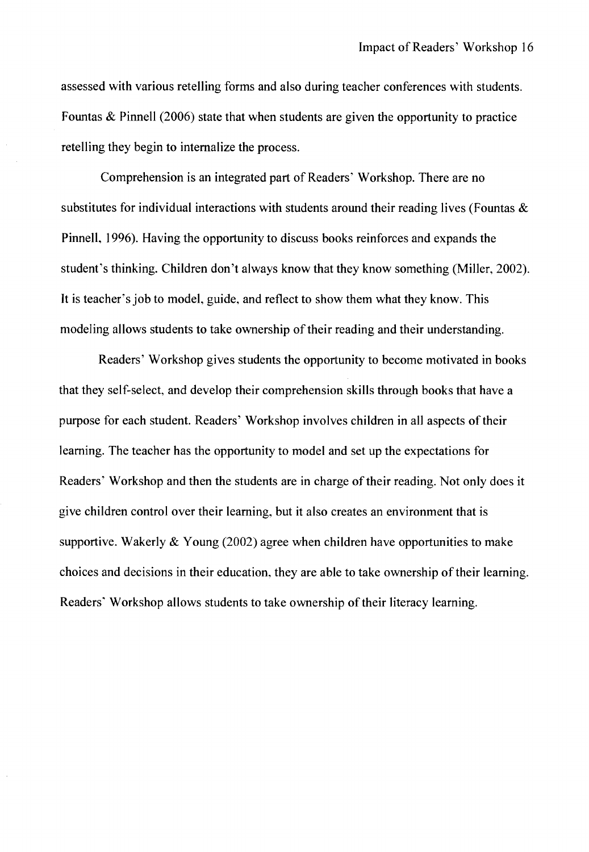assessed with various retelling forms and also during teacher conferences with students. Fountas & Pinnell (2006) state that when students are given the opportunity to practice retelling they begin to internalize the process.

Comprehension is an integrated part of Readers' Workshop. There are no substitutes for individual interactions with students around their reading lives (Fountas  $\&$ Pinnell, 1996). Having the opportunity to discuss books reinforces and expands the student's thinking. Children don't always know that they know something (Miller, 2002). It is teacher's job to model, guide, and reflect to show them what they know. This modeling allows students to take ownership of their reading and their understanding.

Readers' Workshop gives students the opportunity to become motivated in books that they self-select, and develop their comprehension skills through books that have a purpose for each student. Readers' Workshop involves children in all aspects of their learning. The teacher has the opportunity to model and set up the expectations for Readers' Workshop and then the students are in charge of their reading. Not only does it give children control over their learning, but it also creates an environment that is supportive. Wakerly  $&$  Young (2002) agree when children have opportunities to make choices and decisions in their education, they are able to take ownership of their learning. Readers' Workshop allows students to take ownership of their literacy learning.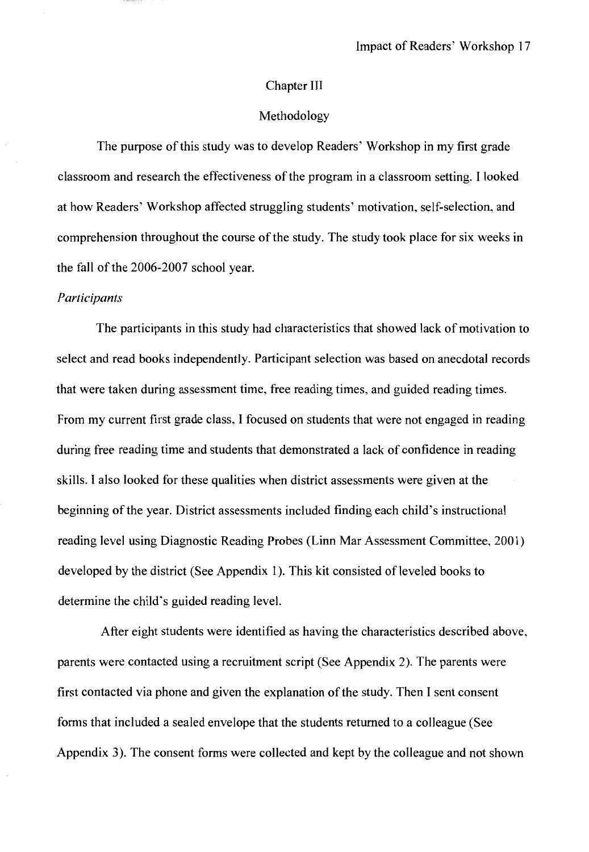#### Chapter Ill

#### Methodology

The purpose of this study was to develop Readers' Workshop in my first grade classroom and research the effectiveness of the program in a classroom setting. I looked at how Readers' Workshop affected struggling students' motivation, self-selection, and comprehension throughout the course of the study. The study took place for six weeks in the fall of the 2006-2007 school year.

#### *Participants*

The participants in this study had characteristics that showed lack of motivation to select and read books independently. Participant selection was based on anecdotal records that were taken during assessment time, free reading times, and guided reading times. From my current first grade class, I focused on students that were not engaged in reading during free reading time and students that demonstrated a lack of confidence in reading skills. I also looked for these qualities when district assessments were given at the beginning of the year. District assessments included finding each child's instructional reading level using Diagnostic Reading Probes (Linn Mar Assessment Committee, 2001) developed by the district (See Appendix 1). This kit consisted of leveled books to determine the child's guided reading level.

After eight students were identified as having the characteristics described above, parents were contacted using a recruitment script (See Appendix 2). The parents were first contacted via phone and given the explanation of the study. Then I sent consent forms that included a sealed envelope that the students returned to a colleague (See Appendix 3). The consent forms were collected and kept by the colleague and not shown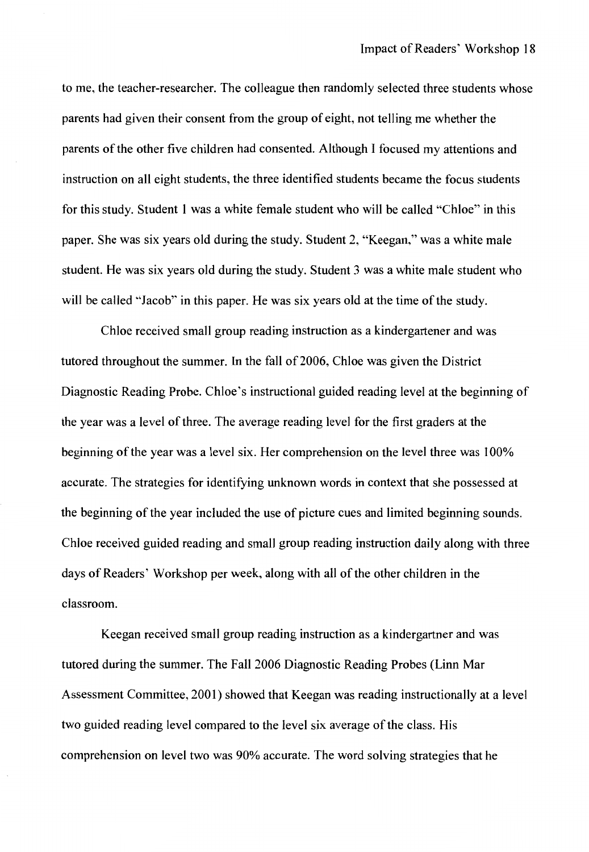to me, the teacher-researcher. The colleague then randomly selected three students whose parents had given their consent from the group of eight, not telling me whether the parents of the other five children had consented. Although I focused my attentions and instruction on all eight students, the three identified students became the focus students for this study. Student 1 was a white female student who will be called "Chloe" in this paper. She was six years old during the study. Student 2, "Keegan," was a white male student. He was six years old during the study. Student 3 was a white male student who will be called "Jacob" in this paper. He was six years old at the time of the study.

Chloe received small group reading instruction as a kindergartener and was tutored throughout the summer. In the fall of 2006, Chloe was given the District Diagnostic Reading Probe. Chloe's instructional guided reading level at the beginning of the year was a level of three. The average reading level for the first graders at the beginning of the year was a level six. Her comprehension on the level three was 100% accurate. The strategies for identifying unknown words in context that she possessed at the beginning of the year included the use of picture cues and limited beginning sounds. Chloe received guided reading and small group reading instruction daily along with three days of Readers' Workshop per week, along with all of the other children in the classroom.

Keegan received small group reading instruction as a kindergartner and was tutored during the summer. The Fall 2006 Diagnostic Reading Probes (Linn Mar Assessment Committee, 2001) showed that Keegan was reading instructionally at a level two guided reading level compared to the level six average of the class. His comprehension on level two was 90% accurate. The word solving strategies that he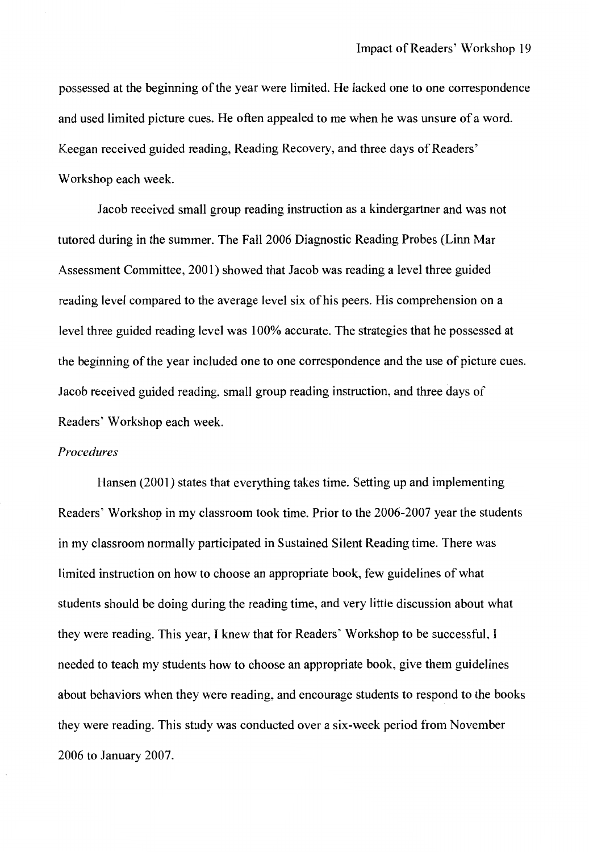possessed at the beginning of the year were limited. He lacked one to one correspondence and used limited picture cues. He often appealed to me when he was unsure of a word. Keegan received guided reading, Reading Recovery, and three days of Readers' Workshop each week.

Jacob received small group reading instruction as a kindergartner and was not tutored during in the summer. The Fall 2006 Diagnostic Reading Probes (Linn Mar Assessment Committee, 2001) showed that Jacob was reading a level three guided reading level compared to the average level six of his peers. His comprehension on a level three guided reading level was 100% accurate. The strategies that he possessed at the beginning of the year included one to one correspondence and the use of picture cues. Jacob received guided reading, small group reading instruction, and three days of Readers' Workshop each week.

#### *Procedures*

Hansen (2001) states that everything takes time. Setting up and implementing Readers' Workshop in my classroom took time. Prior to the 2006-2007 year the students in my classroom normally participated in Sustained Silent Reading time. There was limited instruction on how to choose an appropriate book, few guidelines of what students should be doing during the reading time, and very little discussion about what they were reading. This year, I knew that for Readers' Workshop to be successful, I needed to teach my students how to choose an appropriate book, give them guidelines about behaviors when they were reading, and encourage students to respond to the books they were reading. This study was conducted over a six-week period from November 2006 to January 2007.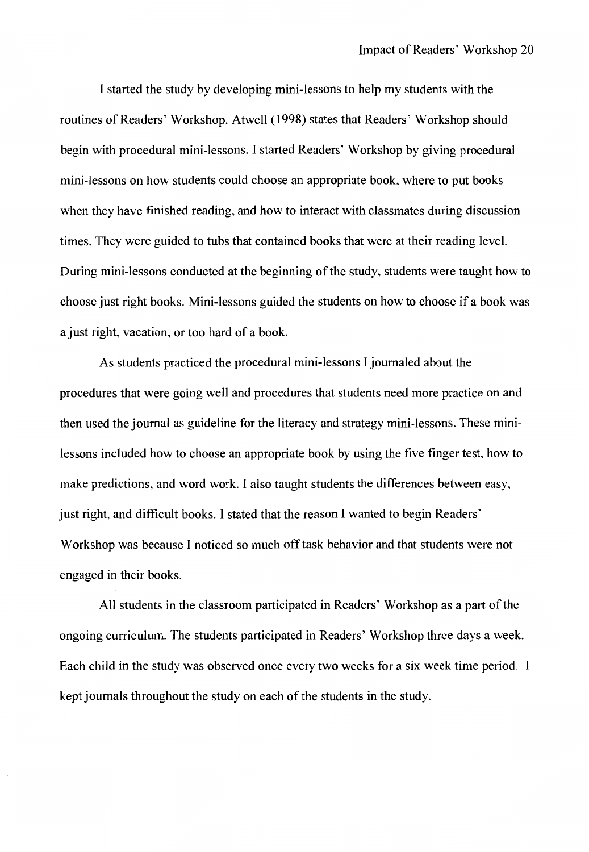I started the study by developing mini-lessons to help my students with the routines of Readers' Workshop. Atwell (1998) states that Readers' Workshop should begin with procedural mini-lessons. I started Readers' Workshop by giving procedural mini-lessons on how students could choose an appropriate book, where to put books when they have finished reading, and how to interact with classmates during discussion times. They were guided to tubs that contained books that were at their reading level. During mini-lessons conducted at the beginning of the study, students were taught how to choose just right books. Mini-lessons guided the students on how to choose if a book was a just right, vacation, or too hard of a book.

As students practiced the procedural mini-lessons I journaled about the procedures that were going well and procedures that students need more practice on and then used the journal as guideline for the literacy and strategy mini-lessons. These minilessons included how to choose an appropriate book by using the five finger test, how to make predictions, and word work. I also taught students the differences between easy, just right, and difficult books. I stated that the reason I wanted to begin Readers' Workshop was because I noticed so much off task behavior and that students were not engaged in their books.

All students in the classroom participated in Readers' Workshop as a part of the ongoing curriculum. The students participated in Readers' Workshop three days a week. Each child in the study was observed once every two weeks for a six week time period. kept journals throughout the study on each of the students in the study.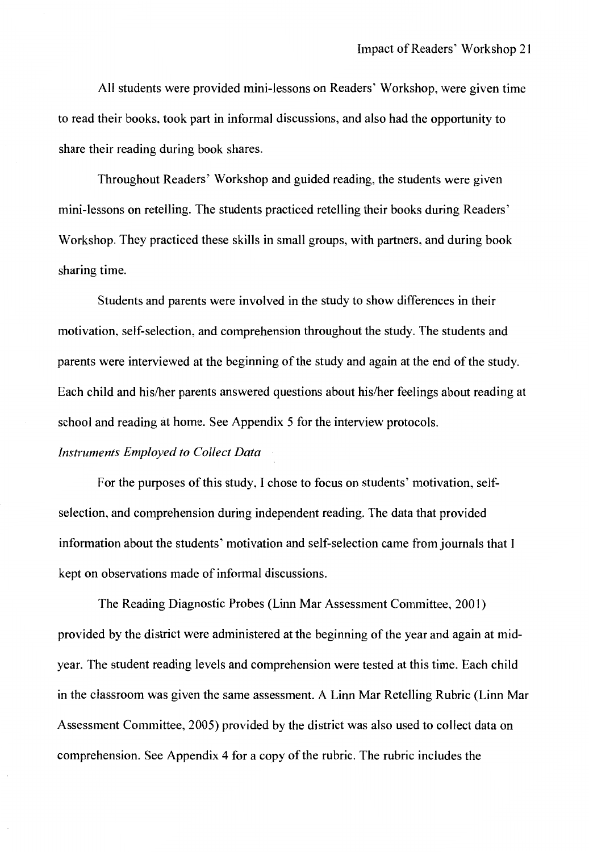All students were provided mini-lessons on Readers' Workshop, were given time to read their books, took part in informal discussions, and also had the opportunity to share their reading during book shares.

Throughout Readers' Workshop and guided reading, the students were given mini-lessons on retelling. The students practiced retelling their books during Readers' Workshop. They practiced these skills in small groups, with partners, and during book sharing time.

Students and parents were involved in the study to show differences in their motivation, self-selection, and comprehension throughout the study. The students and parents were interviewed at the beginning of the study and again at the end of the study. Each child and his/her parents answered questions about his/her feelings about reading at school and reading at home. See Appendix 5 for the interview protocols.

#### *Instruments Employed to Collect Data*

For the purposes of this study, I chose to focus on students' motivation, selfselection, and comprehension during independent reading. The data that provided information about the students' motivation and self-selection came from journals that I kept on observations made of informal discussions.

The Reading Diagnostic Probes (Linn Mar Assessment Committee, 2001) provided by the district were administered at the beginning of the year and again at midyear. The student reading levels and comprehension were tested at this time. Each child in the classroom was given the same assessment. A Linn Mar Retelling Rubric (Linn Mar Assessment Committee, 2005) provided by the district was also used to collect data on comprehension. See Appendix 4 for a copy of the rubric. The rubric includes the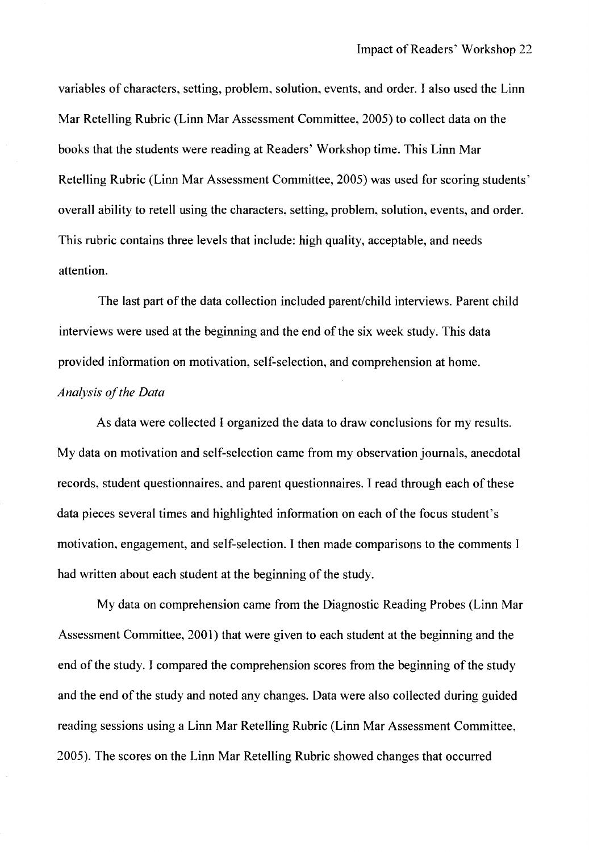variables of characters, setting, problem, solution, events, and order. I also used the Linn Mar Retelling Rubric (Linn Mar Assessment Committee, 2005) to collect data on the books that the students were reading at Readers' Workshop time. This Linn Mar Retelling Rubric (Linn Mar Assessment Committee, 2005) was used for scoring students' overall ability to retell using the characters, setting, problem, solution, events, and order. This rubric contains three levels that include: high quality, acceptable, and needs attention.

The last part of the data collection included parent/child interviews. Parent child interviews were used at the beginning and the end of the six week study. This data provided information on motivation, self-selection, and comprehension at home. *Ana{vsis of the Data* 

As data were collected I organized the data to draw conclusions for my results. My data on motivation and self-selection came from my observation journals, anecdotal records, student questionnaires. and parent questionnaires. I read through each of these data pieces several times and highlighted information on each of the focus student's motivation, engagement, and self-selection. I then made comparisons to the comments I had written about each student at the beginning of the study.

My data on comprehension came from the Diagnostic Reading Probes (Linn Mar Assessment Committee, 2001) that were given to each student at the beginning and the end of the study. I compared the comprehension scores from the beginning of the study and the end of the study and noted any changes. Data were also collected during guided reading sessions using a Linn Mar Retelling Rubric (Linn Mar Assessment Committee, 2005). The scores on the Linn Mar Retelling Rubric showed changes that occurred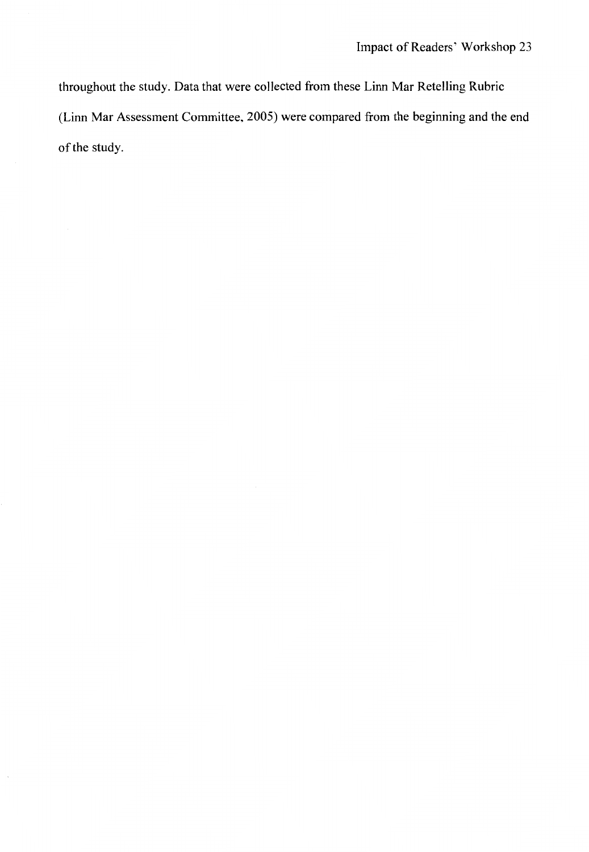throughout the study. Data that were collected from these Linn Mar Retelling Rubric (Linn Mar Assessment Committee, 2005) were compared from the beginning and the end of the study.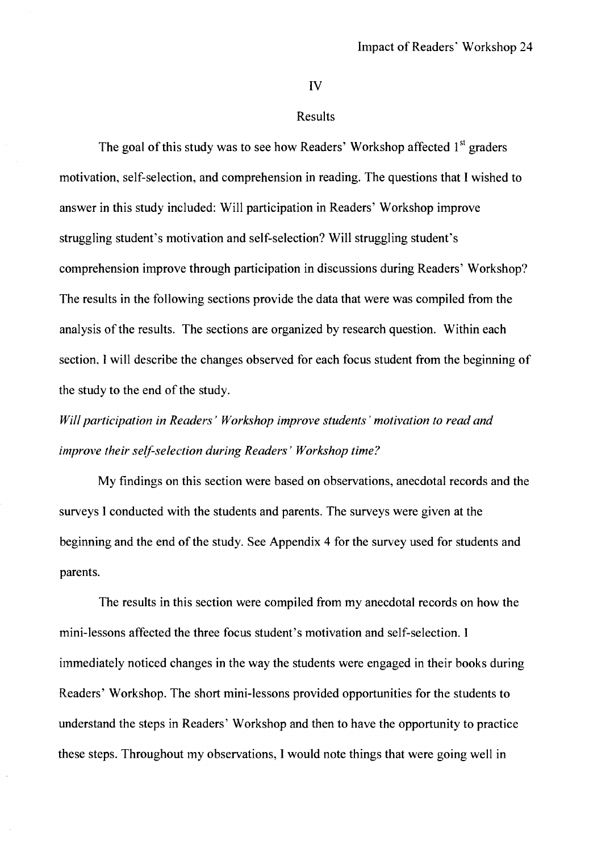IV

#### Results

The goal of this study was to see how Readers' Workshop affected 1<sup>st</sup> graders motivation, self-selection, and comprehension in reading. The questions that I wished to answer in this study included: Will participation in Readers' Workshop improve struggling student's motivation and self-selection? Will struggling student's comprehension improve through participation in discussions during Readers' Workshop? The results in the following sections provide the data that were was compiled from the analysis of the results. The sections are organized by research question. Within each section, I will describe the changes observed for each focus student from the beginning of the study to the end of the study.

*Will participation in Readers' Workshop improve students' motivation to read and improve their self-selection during Readers' Workshop time?* 

My findings on this section were based on observations, anecdotal records and the surveys I conducted with the students and parents. The surveys were given at the beginning and the end of the study. See Appendix 4 for the survey used for students and parents.

The results in this section were compiled from my anecdotal records on how the mini-lessons affected the three focus student's motivation and self-selection. I immediately noticed changes in the way the students were engaged in their books during Readers' Workshop. The short mini-lessons provided opportunities for the students to understand the steps in Readers' Workshop and then to have the opportunity to practice these steps. Throughout my observations, I would note things that were going well in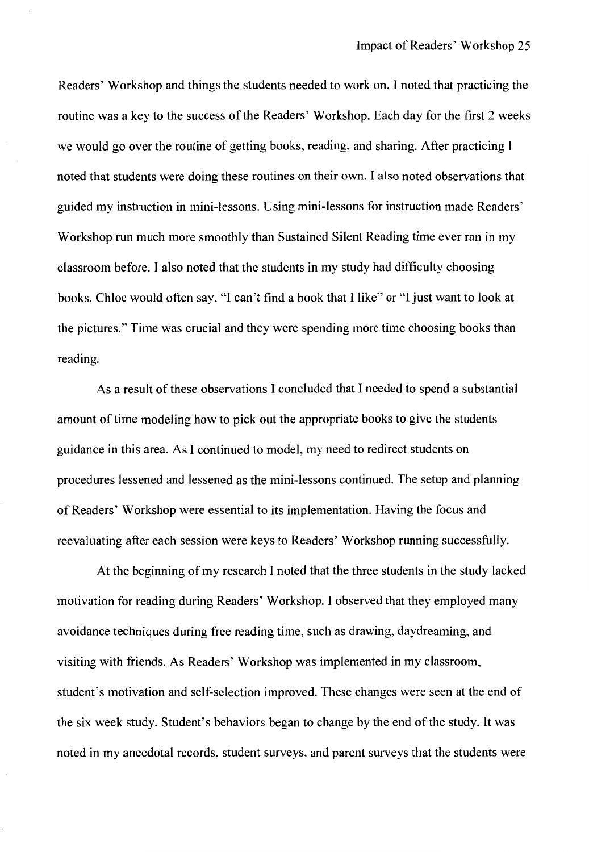Readers' Workshop and things the students needed to work on. I noted that practicing the routine was a key to the success of the Readers' Workshop. Each day for the first 2 weeks we would go over the routine of getting books, reading, and sharing. After practicing I noted that students were doing these routines on their own. I also noted observations that guided my instruction in mini-lessons. Using mini-lessons for instruction made Readers' Workshop run much more smoothly than Sustained Silent Reading time ever ran in my classroom before. I also noted that the students in my study had difficulty choosing books. Chloe would often say, "I can't find a book that I like" or "I just want to look at the pictures." Time was crucial and they were spending more time choosing books than reading.

As a result of these observations I concluded that I needed to spend a substantial amount of time modeling how to pick out the appropriate books to give the students guidance in this area. As I continued to model, my need to redirect students on procedures lessened and lessened as the mini-lessons continued. The setup and planning of Readers' Workshop were essential to its implementation. Having the focus and reevaluating after each session were keys to Readers' Workshop running successfully.

At the beginning of my research I noted that the three students in the study lacked motivation for reading during Readers' Workshop. I observed that they employed many avoidance techniques during free reading time, such as drawing, daydreaming, and visiting with friends. As Readers' Workshop was implemented in my classroom, student's motivation and self-selection improved. These changes were seen at the end of the six week study. Student's behaviors began to change by the end of the study. It was noted in my anecdotal records, student surveys, and parent surveys that the students were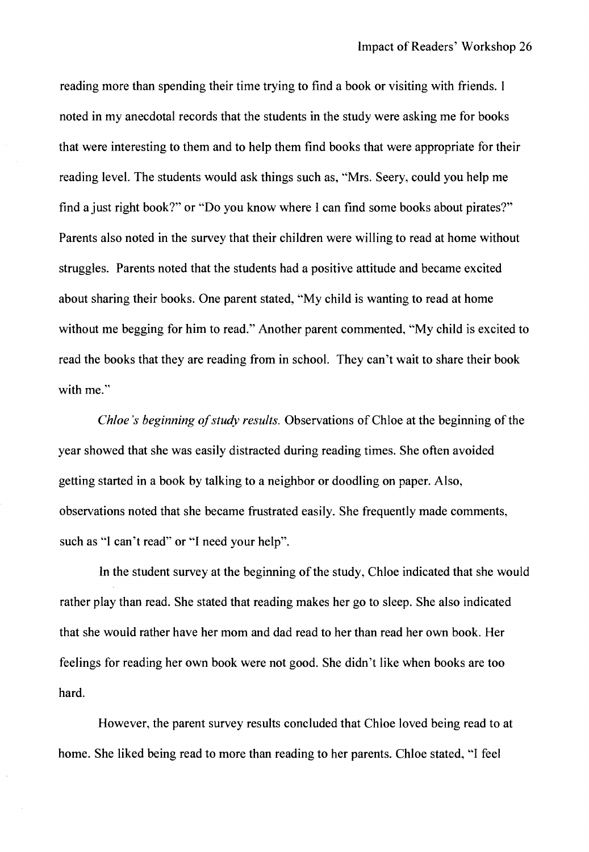reading more than spending their time trying to find a book or visiting with friends. I noted in my anecdotal records that the students in the study were asking me for books that were interesting to them and to help them find books that were appropriate for their reading level. The students would ask things such as, "Mrs. Seery, could you help me find a just right book?" or "Do you know where I can find some books about pirates?" Parents also noted in the survey that their children were willing to read at home without struggles. Parents noted that the students had a positive attitude and became excited about sharing their books. One parent stated, "My child is wanting to read at home without me begging for him to read." Another parent commented, "My child is excited to read the books that they are reading from in school. They can't wait to share their book with me."

*Chloe's beginning of study results.* Observations of Chloe at the beginning of the year showed that she was easily distracted during reading times. She often avoided getting started in a book by talking to a neighbor or doodling on paper. Also, observations noted that she became frustrated easily. She frequently made comments, such as "I can't read" or "I need your help".

In the student survey at the beginning of the study, Chloe indicated that she would rather play than read. She stated that reading makes her go to sleep. She also indicated that she would rather have her mom and dad read to her than read her own book. Her feelings for reading her own book were not good. She didn't like when books are too hard.

However, the parent survey results concluded that Chloe loved being read to at home. She liked being read to more than reading to her parents. Chloe stated, "I feel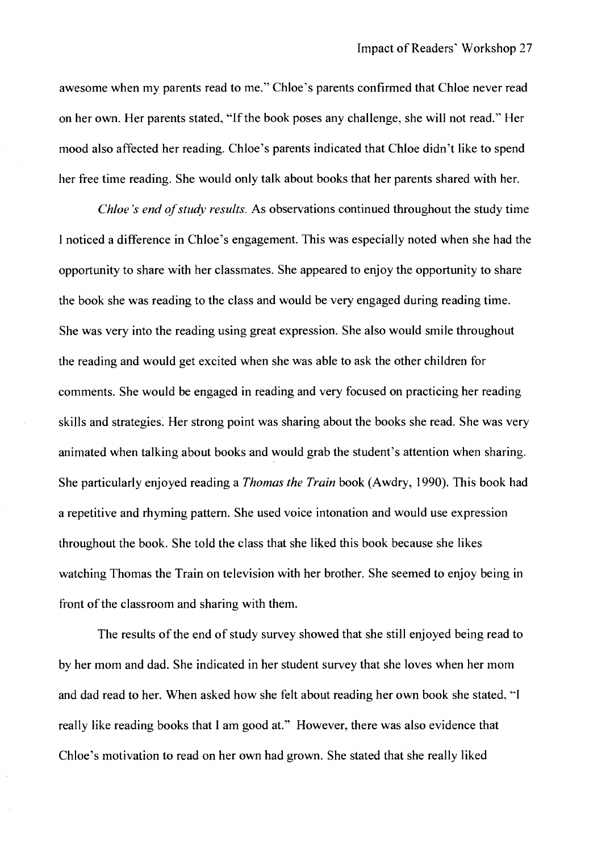awesome when my parents read to me." Chloe's parents confirmed that Chloe never read on her own. Her parents stated, "If the book poses any challenge, she will not read." Her mood also affected her reading. Chloe's parents indicated that Chloe didn't like to spend her free time reading. She would only talk about books that her parents shared with her.

*Chloe's end of study results.* As observations continued throughout the study time I noticed a difference in Chloe's engagement. This was especially noted when she had the opportunity to share with her classmates. She appeared to enjoy the opportunity to share the book she was reading to the class and would be very engaged during reading time. She was very into the reading using great expression. She also would smile throughout the reading and would get excited when she was able to ask the other children for comments. She would be engaged in reading and very focused on practicing her reading skills and strategies. Her strong point was sharing about the books she read. She was very animated when talking about books and would grab the student's attention when sharing. She particularly enjoyed reading a *Thomas the Train* book (Awdry, 1990). This book had a repetitive and rhyming pattern. She used voice intonation and would use expression throughout the book. She told the class that she liked this book because she likes watching Thomas the Train on television with her brother. She seemed to enjoy being in front of the classroom and sharing with them.

The results of the end of study survey showed that she still enjoyed being read to by her mom and dad. She indicated in her student survey that she loves when her mom and dad read to her. When asked how she felt about reading her own book she stated, ''I really like reading books that I am good at." However, there was also evidence that Chloe's motivation to read on her own had grown. She stated that she really liked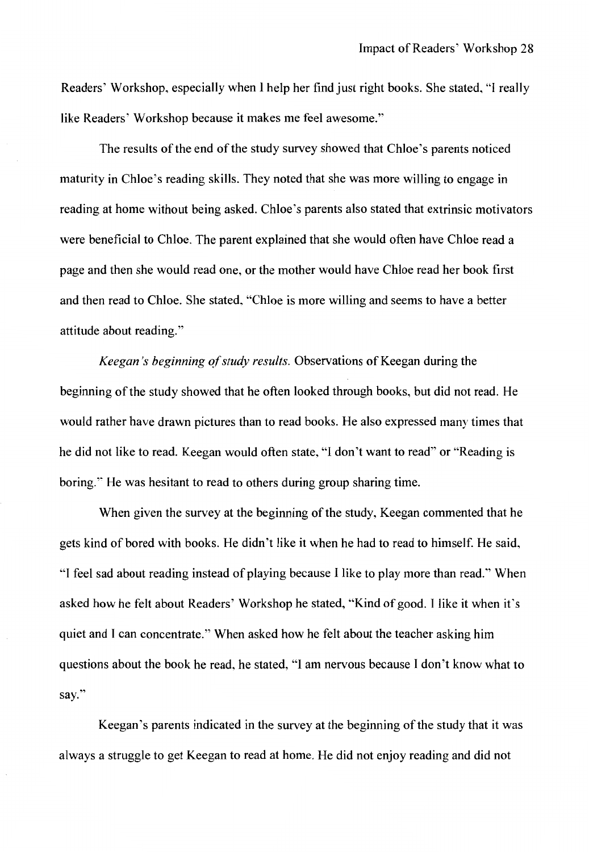Readers' Workshop, especially when I help her find just right books. She stated, "I really like Readers' Workshop because it makes me feel awesome."

The results of the end of the study survey showed that Chloe's parents noticed maturity in Chloe's reading skills. They noted that she was more willing to engage in reading at home without being asked. Chloe's parents also stated that extrinsic motivators were beneficial to Chloe. The parent explained that she would often have Chloe read a page and then she would read one, or the mother would have Chloe read her book first and then read to Chloe. She stated, "Chloe is more willing and seems to have a better attitude about reading."

*Keegan's beginning of study results.* Observations of Keegan during the beginning of the study showed that he often looked through books, but did not read. He would rather have drawn pictures than to read books. He also expressed many times that he did not like to read. Keegan would often state, "I don't want to read" or "Reading is boring." He was hesitant to read to others during group sharing time.

When given the survey at the beginning of the study, Keegan commented that he gets kind of bored with books. He didn't like it when he had to read to himself. He said, "I feel sad about reading instead of playing because I like to play more than read.'' When asked how he felt about Readers' Workshop he stated, "Kind of good. I like it when it's quiet and I can concentrate." When asked how he felt about the teacher asking him questions about the book he read, he stated, "I am nervous because I don't know what to say."

Keegan's parents indicated in the survey at the beginning of the study that it was always a struggle to get Keegan to read at home. He did not enjoy reading and did not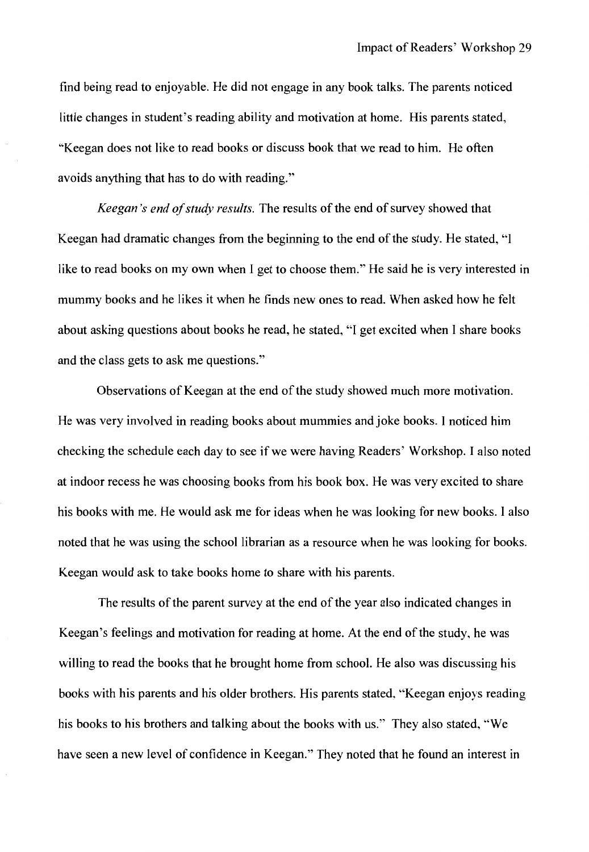find being read to enjoyable. He did not engage in any book talks. The parents noticed little changes in student's reading ability and motivation at home. His parents stated, "Keegan does not like to read books or discuss book that we read to him. He often avoids anything that has to do with reading."

*Keegan 's end of study results.* The results of the end of survey showed that Keegan had dramatic changes from the beginning to the end of the study. He stated, "I like to read books on my own when I get to choose them." He said he is very interested in mummy books and he likes it when he finds new ones to read. When asked how he felt about asking questions about books he read, he stated, "I get excited when I share books and the class gets to ask me questions."

Observations of Keegan at the end of the study showed much more motivation. He was very involved in reading books about mummies and joke books. I noticed him checking the schedule each day to see if we were having Readers' Workshop. I also noted at indoor recess he was choosing books from his book box. He was very excited to share his books with me. He would ask me for ideas when he was looking for new books. I also noted that he was using the school librarian as a resource when he was looking for books. Keegan would ask to take books home to share with his parents.

The results of the parent survey at the end of the year also indicated changes in Keegan's feelings and motivation for reading at home. At the end of the study, he was willing to read the books that he brought home from school. He also was discussing his books with his parents and his older brothers. His parents stated, "Keegan enjoys reading his books to his brothers and talking about the books with us." They also stated, "We have seen a new level of confidence in Keegan." They noted that he found an interest in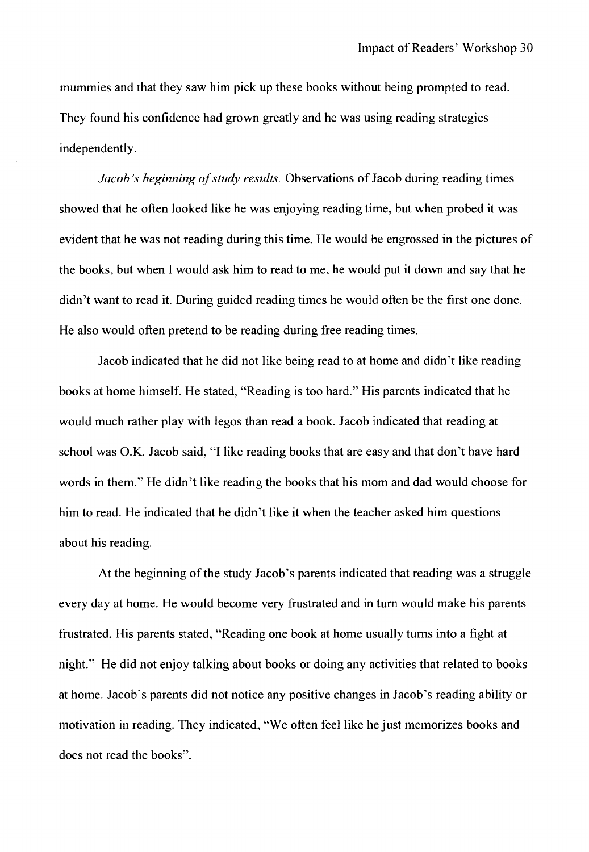mummies and that they saw him pick up these books without being prompted to read. They found his confidence had grown greatly and he was using reading strategies independently.

*Jacob's beginning of study results.* Observations of Jacob during reading times showed that he often looked like he was enjoying reading time, but when probed it was evident that he was not reading during this time. He would be engrossed in the pictures of the books, but when I would ask him to read to me, he would put it down and say that he didn't want to read it. During guided reading times he would often be the first one done. He also would often pretend to be reading during free reading times.

Jacob indicated that he did not like being read to at home and didn't like reading books at home himself. He stated, "Reading is too hard." His parents indicated that he would much rather play with legos than read a book. Jacob indicated that reading at school was O.K. Jacob said, "I like reading books that are easy and that don't have hard words in them." He didn't like reading the books that his mom and dad would choose for him to read. He indicated that he didn't like it when the teacher asked him questions about his reading.

At the beginning of the study Jacob's parents indicated that reading was a struggle every day at home. He would become very frustrated and in tum would make his parents frustrated. His parents stated, "Reading one book at home usually turns into a fight at night." He did not enjoy talking about books or doing any activities that related to books at home. Jacob's parents did not notice any positive changes in Jacob's reading ability or motivation in reading. They indicated, "We often feel like he just memorizes books and does not read the books".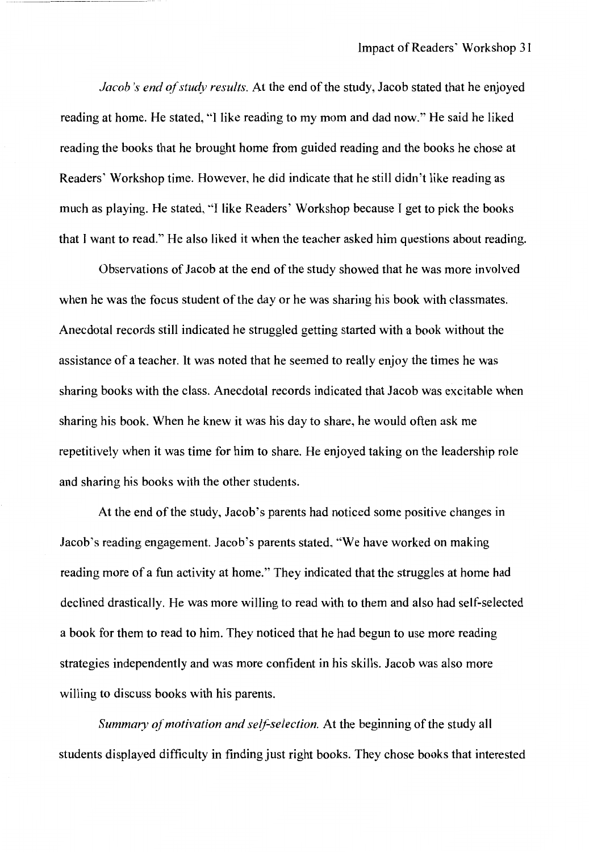*Jacob's end of study results.* At the end of the study, Jacob stated that he enjoyed reading at home. He stated, "I like reading to my mom and dad now." He said he liked reading the books that he brought home from guided reading and the books he chose at Readers' Workshop time. However, he did indicate that he still didn't like reading as much as playing. He stated, ''I like Readers' Workshop because I get to pick the books that I want to read." He also liked it when the teacher asked him questions about reading.

Observations of Jacob at the end of the study showed that he was more involved when he was the focus student of the day or he was sharing his book with classmates. Anecdotal records still indicated he struggled getting started with a book without the assistance of a teacher. It was noted that he seemed to really enjoy the times he was sharing books with the class. Anecdotal records indicated that Jacob was excitable when sharing his book. When he knew it was his day to share, he would often ask me repetitively when it was time for him to share. He enjoyed taking on the leadership role and sharing his books with the other students.

At the end of the study, Jacob's parents had noticed some positive changes in Jacob's reading engagement. Jacob's parents stated, "We have worked on making reading more of a fun activity at home." They indicated that the struggles at home had declined drastically. He was more willing to read with to them and also had self-selected a book for them to read to him. They noticed that he had begun to use more reading strategies independently and was more confident in his skills. Jacob was also more willing to discuss books with his parents.

*Summary of motivation and self-selection.* At the beginning of the study all students displayed difficulty in finding just right books. They chose books that interested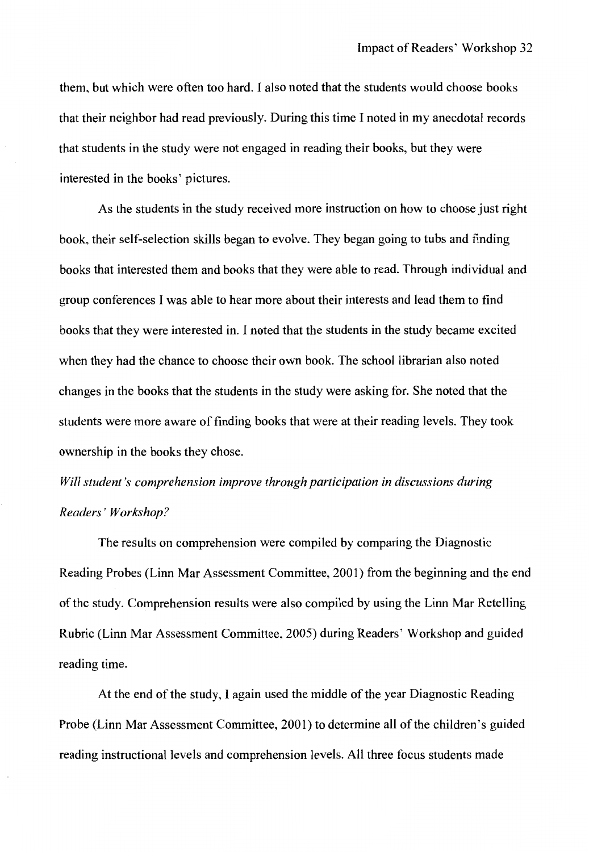them, but which were often too hard. I also noted that the students would choose books that their neighbor had read previously. During this time I noted in my anecdotal records that students in the study were not engaged in reading their books, but they were interested in the books' pictures.

As the students in the study received more instruction on how to choose just right book, their self-selection skills began to evolve. They began going to tubs and finding books that interested them and books that they were able to read. Through individual and group conferences I was able to hear more about their interests and lead them to find books that they were interested in. I noted that the students in the study became excited when they had the chance to choose their own book. The school librarian also noted changes in the books that the students in the study were asking for. She noted that the students were more aware of finding books that were at their reading levels. They took ownership in the books they chose.

## *Will student's comprehension improve through participation in discussions during Readers' Workshop?*

The results on comprehension were compiled by comparing the Diagnostic Reading Probes (Linn Mar Assessment Committee, 2001) from the beginning and the end of the study. Comprehension results were also compiled by using the Linn Mar Retelling Rubric (Linn Mar Assessment Committee, 2005) during Readers' Workshop and guided reading time.

At the end of the study, I again used the middle of the year Diagnostic Reading Probe (Linn Mar Assessment Committee, 2001) to determine all of the children's guided reading instructional levels and comprehension levels. All three focus students made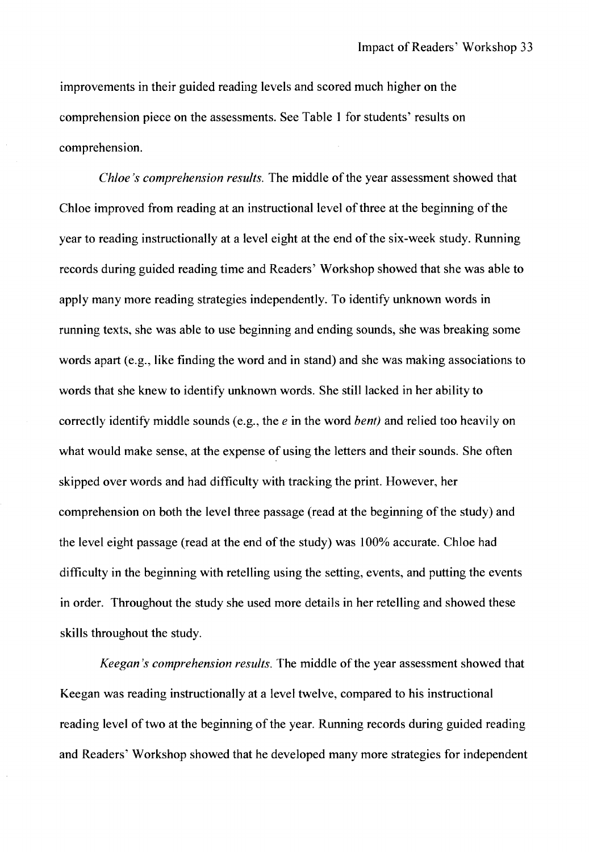improvements in their guided reading levels and scored much higher on the comprehension piece on the assessments. See Table 1 for students' results on comprehension.

*Chloe's comprehension results.* The middle of the year assessment showed that Chloe improved from reading at an instructional level of three at the beginning of the year to reading instructionally at a level eight at the end of the six-week study. Running records during guided reading time and Readers' Workshop showed that she was able to apply many more reading strategies independently. To identify unknown words in running texts, she was able to use beginning and ending sounds, she was breaking some words apart (e.g., like finding the word and in stand) and she was making associations to words that she knew to identify unknown words. She still lacked in her ability to correctly identify middle sounds ( e.g., the *e* in the word *bent)* and relied too heavily on what would make sense, at the expense of using the letters and their sounds. She often skipped over words and had difficulty with tracking the print. However, her comprehension on both the level three passage (read at the beginning of the study) and the level eight passage (read at the end of the study) was 100% accurate. Chloe had difficulty in the beginning with retelling using the setting, events, and putting the events in order. Throughout the study she used more details in her retelling and showed these skills throughout the study.

*Keegan's comprehension results.* The middle of the year assessment showed that Keegan was reading instructionally at a level twelve, compared to his instructional reading level of two at the beginning of the year. Running records during guided reading and Readers' Workshop showed that he developed many more strategies for independent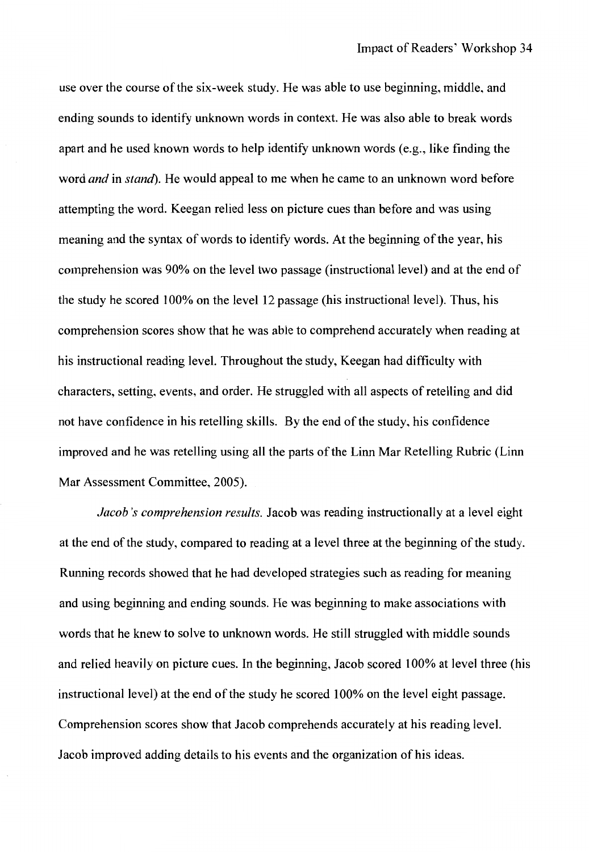use over the course of the six-week study. He was able to use beginning, middle, and ending sounds to identify unknown words in context. He was also able to break words apart and he used known words to help identify unknown words (e.g., like finding the word *and* in *stand).* He would appeal to me when he came to an unknown word before attempting the word. Keegan relied less on picture cues than before and was using meaning and the syntax of words to identify words. At the beginning of the year, his comprehension was 90% on the level two passage (instructional level) and at the end of the study he scored 100% on the level 12 passage (his instructional level). Thus, his comprehension scores show that he was able to comprehend accurately when reading at his instructional reading level. Throughout the study, Keegan had difficulty with characters, setting, events, and order. He struggled with all aspects of retelling and did not have confidence in his retelling skills. By the end of the study, his confidence improved and he was retelling using all the parts of the Linn Mar Retelling Rubric (Linn Mar Assessment Committee, 2005).

*Jacob's comprehension results.* Jacob was reading instructionally at a level eight at the end of the study, compared to reading at a level three at the beginning of the study. Running records showed that he had developed strategies such as reading for meaning and using beginning and ending sounds. He was beginning to make associations with words that he knew to solve to unknown words. He still struggled with middle sounds and relied heavily on picture cues. In the beginning, Jacob scored 100% at level three (his instructional level) at the end of the study he scored 100% on the level eight passage. Comprehension scores show that Jacob comprehends accurately at his reading level. Jacob improved adding details to his events and the organization of his ideas.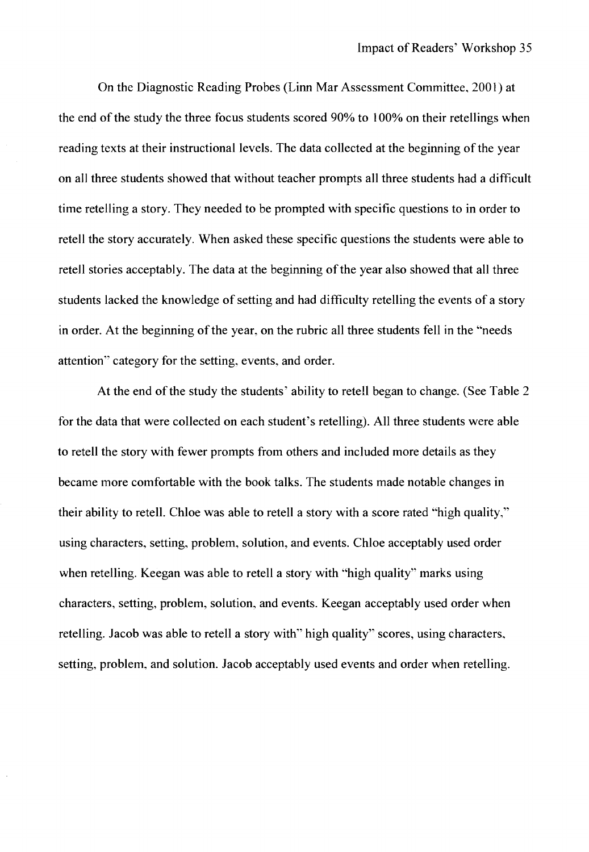On the Diagnostic Reading Probes (Linn Mar Assessment Committee, 2001) at the end of the study the three focus students scored 90% to I 00% on their retellings when reading texts at their instructional levels. The data collected at the beginning of the year on all three students showed that without teacher prompts all three students had a difficult time retelling a story. They needed to be prompted with specific questions to in order to retell the story accurately. When asked these specific questions the students were able to retell stories acceptably. The data at the beginning of the year also showed that all three students lacked the knowledge of setting and had difficulty retelling the events of a story in order. At the beginning of the year, on the rubric all three students fell in the "needs attention" category for the setting, events, and order.

At the end of the study the students' ability to retell began to change. (See Table 2 for the data that were collected on each student's retelling). All three students were able to retell the story with fewer prompts from others and included more details as they became more comfortable with the book talks. The students made notable changes in their ability to retell. Chloe was able to retell a story with a score rated "high quality," using characters, setting, problem, solution, and events. Chloe acceptably used order when retelling. Keegan was able to retell a story with "high quality" marks using characters, setting, problem, solution, and events. Keegan acceptably used order when retelling. Jacob was able to retell a story with" high quality" scores, using characters, setting, problem, and solution. Jacob acceptably used events and order when retelling.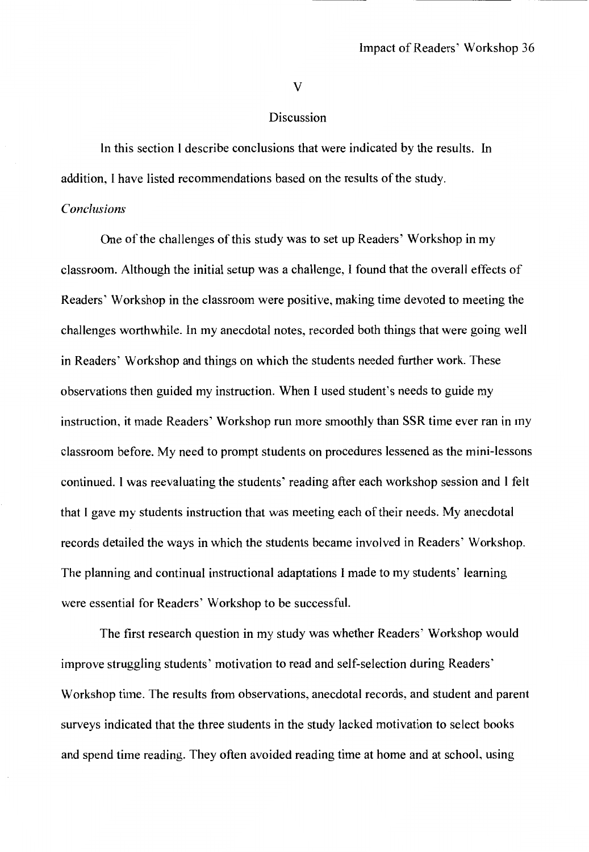V

#### Discussion

In this section I describe conclusions that were indicated by the results. In addition, I have listed recommendations based on the results of the study.

#### *Conclusions*

One of the challenges of this study was to set up Readers' Workshop in my classroom. Although the initial setup was a challenge, I found that the overall effects of Readers' Workshop in the classroom were positive, making time devoted to meeting the challenges worthwhile. In my anecdotal notes, recorded both things that were going well in Readers' Workshop and things on which the students needed further work. These observations then guided my instruction. When I used student's needs to guide my instruction, it made Readers' Workshop run more smoothly than SSR time ever ran in my classroom before. My need to prompt students on procedures lessened as the mini-lessons continued. I was reevaluating the students' reading after each workshop session and I felt that I gave my students instruction that was meeting each of their needs. My anecdotal records detailed the ways in which the students became involved in Readers' Workshop. The planning and continual instructional adaptations I made to my students' learning were essential for Readers' Workshop to be successful.

The first research question in my study was whether Readers' Workshop would improve struggling students' motivation to read and self-selection during Readers' Workshop time. The results from observations, anecdotal records, and student and parent surveys indicated that the three students in the study lacked motivation to select books and spend time reading. They often avoided reading time at home and at school, using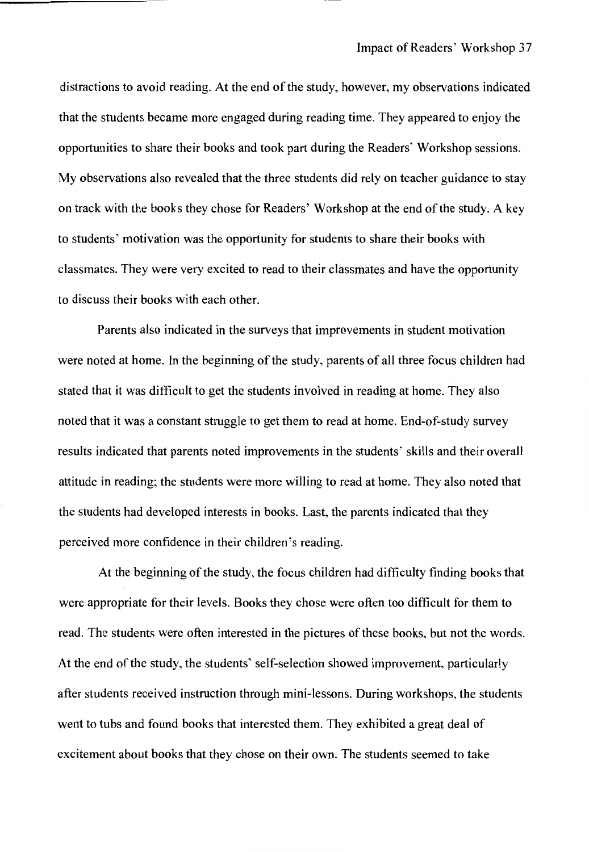distractions to avoid reading. At the end of the study, however, my observations indicated that the students became more engaged during reading time. They appeared to enjoy the opportunities to share their books and took part during the Readers' Workshop sessions. My observations also revealed that the three students did rely on teacher guidance to stay on track with the books they chose for Readers' Workshop at the end of the study. A key to students' motivation was the opportunity for students to share their books with classmates. They were very excited to read to their classmates and have the opportunity to discuss their books with each other.

Parents also indicated in the surveys that improvements in student motivation were noted at home. In the beginning of the study, parents of all three focus children had stated that it was difficult to get the students involved in reading at home. They also noted that it was a constant struggle to get them to read at home. End-of-study survey results indicated that parents noted improvements in the students' skills and their overall attitude in reading; the students were more willing to read at home. They also noted that the students had developed interests in books. Last, the parents indicated that they perceived more confidence in their children's reading.

At the beginning of the study, the focus children had difficulty finding books that were appropriate for their levels. Books they chose were often too difficult for them to read. The students were often interested in the pictures of these books, but not the words. At the end of the study, the students' self-selection showed improvement, particularly after students received instruction through mini-lessons. During workshops, the students went to tubs and found books that interested them. They exhibited a great deal of excitement about books that they chose on their own. The students seemed to take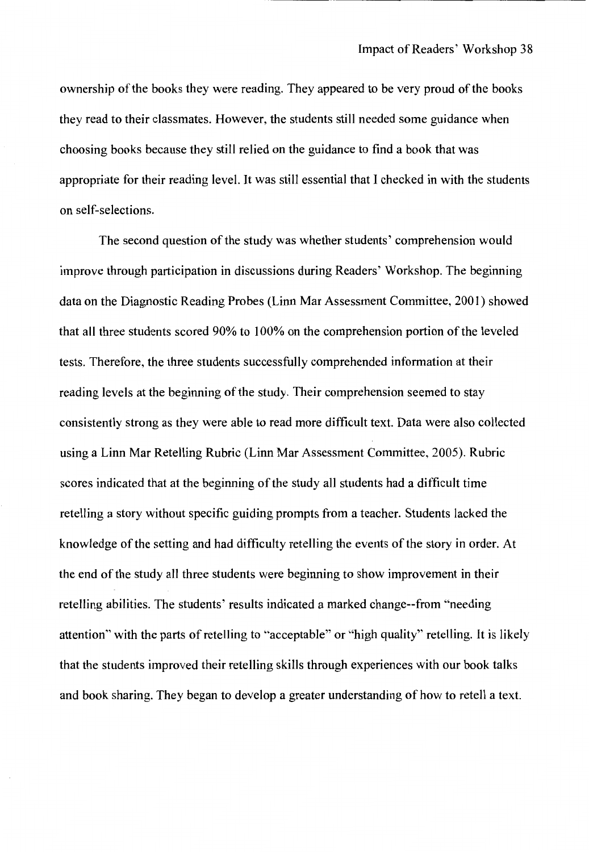ownership of the books they were reading. They appeared to be very proud of the books they read to their classmates. However, the students still needed some guidance when choosing books because they still relied on the guidance to find a book that was appropriate for their reading level. It was still essential that I checked in with the students on self-selections.

The second question of the study was whether students' comprehension would improve through participation in discussions during Readers' Workshop. The beginning data on the Diagnostic Reading Probes (Linn Mar Assessment Committee, 2001) showed that all three students scored 90% to 100% on the comprehension portion of the leveled tests. Therefore, the three students successfully comprehended information at their reading levels at the beginning of the study. Their comprehension seemed to stay consistently strong as they were able to read more difficult text. Data were also collected using a Linn Mar Retelling Rubric (Linn Mar Assessment Committee, 2005). Rubric scores indicated that at the beginning of the study all students had a difficult time retelling a story without specific guiding prompts from a teacher. Students lacked the knowledge of the setting and had difficulty retelling the events of the story in order. At the end of the study all three students were beginning to show improvement in their retelling abilities. The students' results indicated a marked change--from "needing attention" with the parts of retelling to "acceptable" or "high quality'' retelling. It is likely that the students improved their retelling skills through experiences with our book talks and book sharing. They began to develop a greater understanding of how to retell a text.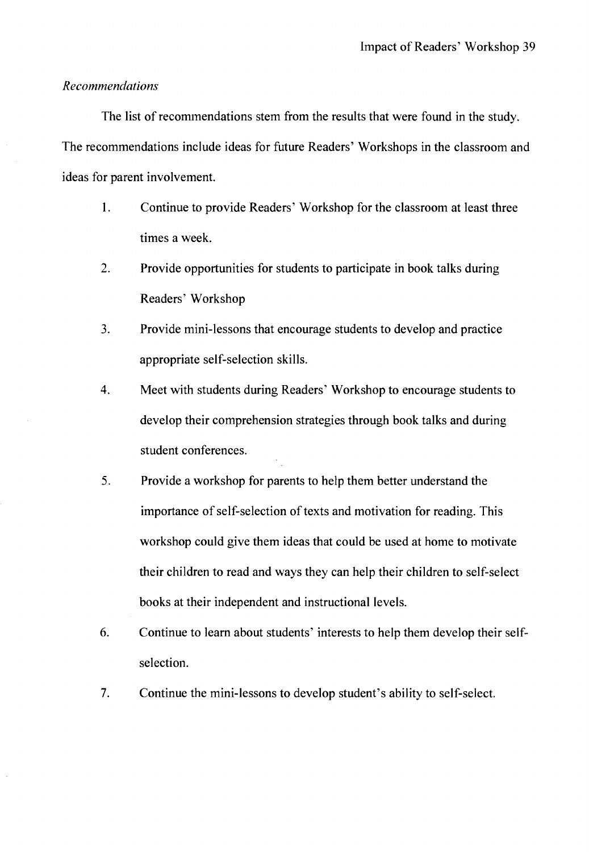#### *Recommendations*

The list of recommendations stem from the results that were found in the study. The recommendations include ideas for future Readers' Workshops in the classroom and ideas for parent involvement.

- 1. Continue to provide Readers' Workshop for the classroom at least three times a week.
- 2. Provide opportunities for students to participate in book talks during Readers' Workshop
- 3. Provide mini-lessons that encourage students to develop and practice appropriate self-selection skills.
- 4. Meet with students during Readers' Workshop to encourage students to develop their comprehension strategies through book talks and during student conferences.
- 5. Provide a workshop for parents to help them better understand the importance of self-selection of texts and motivation for reading. This workshop could give them ideas that could be used at home to motivate their children to read and ways they can help their children to self-select books at their independent and instructional levels.
- 6. Continue to learn about students' interests to help them develop their selfselection.
- 7. Continue the mini-lessons to develop student's ability to self-select.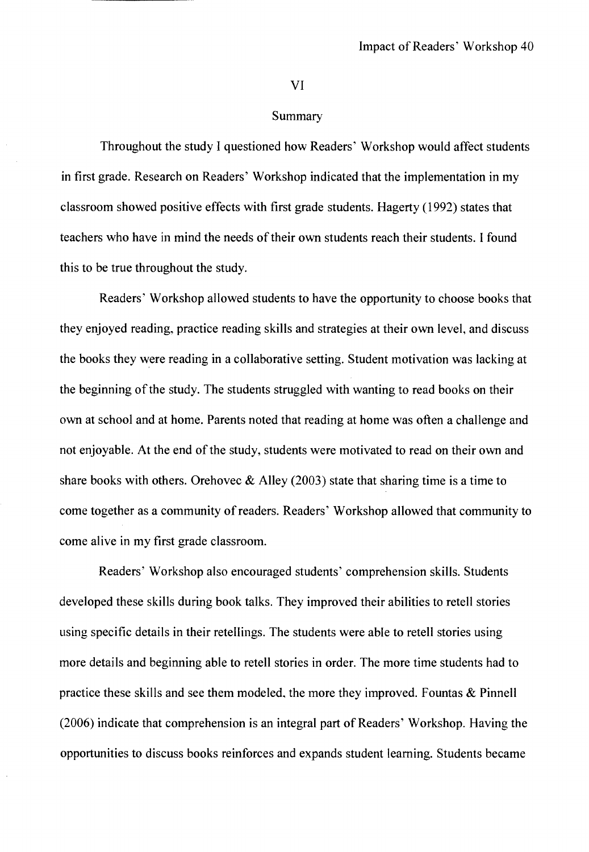#### VI

#### Summary

Throughout the study I questioned how Readers' Workshop would affect students in first grade. Research on Readers' Workshop indicated that the implementation in my classroom showed positive effects with first grade students. Hagerty (1992) states that teachers who have in mind the needs of their own students reach their students. I found this to be true throughout the study.

Readers' Workshop allowed students to have the opportunity to choose books that they enjoyed reading, practice reading skills and strategies at their own level, and discuss the books they were reading in a collaborative setting. Student motivation was lacking at the beginning of the study. The students struggled with wanting to read books on their own at school and at home. Parents noted that reading at home was often a challenge and not enjoyable. At the end of the study, students were motivated to read on their own and share books with others. Orehovec  $\&$  Alley (2003) state that sharing time is a time to come together as a community of readers. Readers' Workshop allowed that community to come alive in my first grade classroom.

Readers' Workshop also encouraged students' comprehension skills. Students developed these skills during book talks. They improved their abilities to retell stories using specific details in their retellings. The students were able to retell stories using more details and beginning able to retell stories in order. The more time students had to practice these skills and see them modeled, the more they improved. Fountas  $&$  Pinnell (2006) indicate that comprehension is an integral part of Readers' Workshop. Having the opportunities to discuss books reinforces and expands student learning. Students became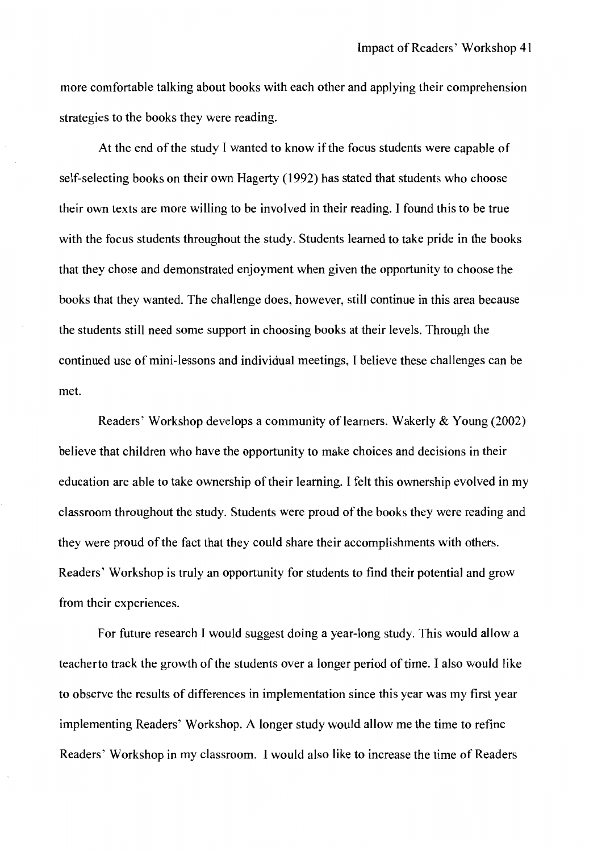more comfortable talking about books with each other and applying their comprehension strategies to the books they were reading.

At the end of the study I wanted to know if the focus students were capable of self-selecting books on their own Hagerty (1992) has stated that students who choose their own texts are more willing to be involved in their reading. I found this to be true with the focus students throughout the study. Students learned to take pride in the books that they chose and demonstrated enjoyment when given the opportunity to choose the books that they wanted. The challenge does, however, still continue in this area because the students still need some support in choosing books at their levels. Through the continued use of mini-lessons and individual meetings, I believe these challenges can be met.

Readers' Workshop develops a community of learners. Wakerly & Young (2002) believe that children who have the opportunity to make choices and decisions in their education are able to take ownership of their learning. I felt this ownership evolved in my classroom throughout the study. Students were proud of the books they were reading and they were proud of the fact that they could share their accomplishments with others. Readers' Workshop is truly an opportunity for students to find their potential and grow from their experiences.

For future research 1 would suggest doing a year-long study. This would allow a teacherto track the growth of the students over a longer period of time. I also would like to observe the results of differences in implementation since this year was my first year implementing Readers' Workshop. A longer study would allow me the time to refine Readers' Workshop in my classroom. I would also like to increase the time of Readers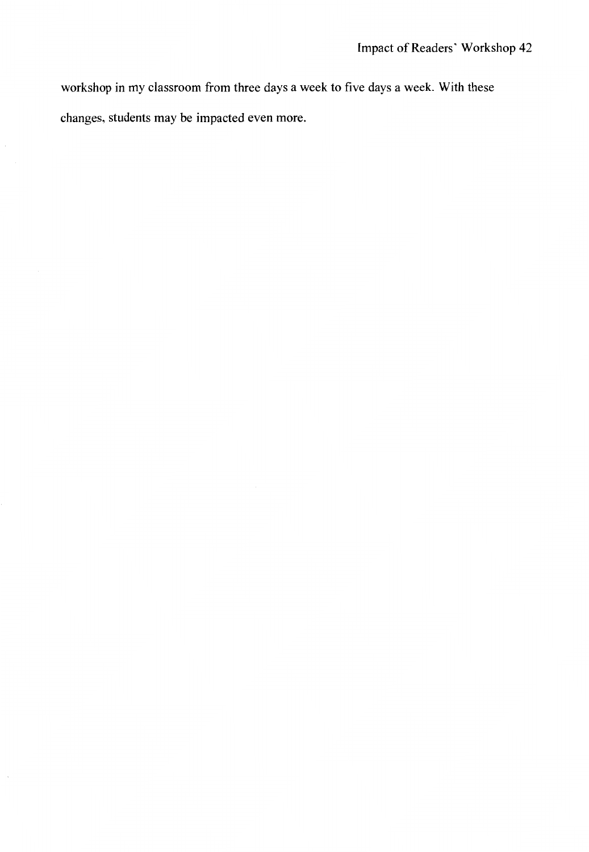workshop in my classroom from three days a week to five days a week. With these changes, students may be impacted even more.

 $\cdot$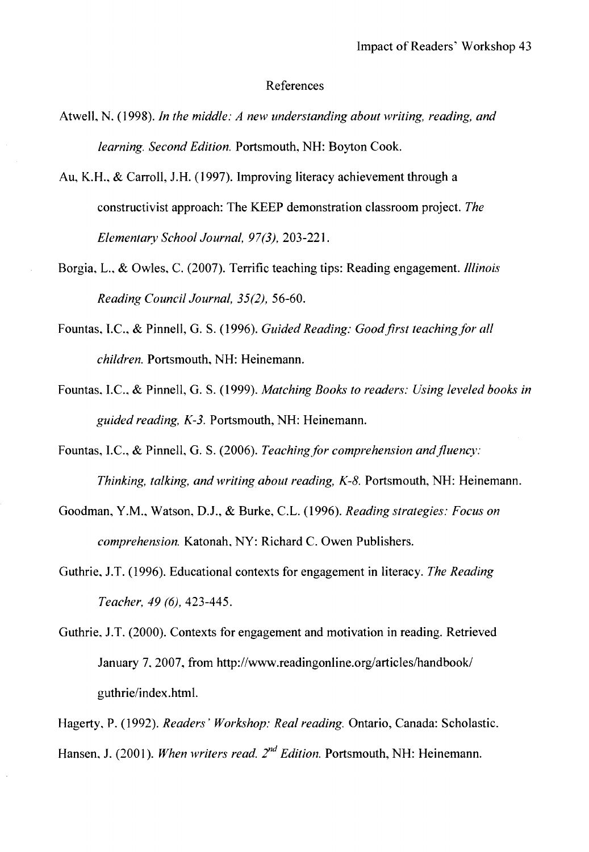#### References

- Atwell, N. (1998). *In the middle: A new understanding about writing, reading, and learning. Second Edition.* Portsmouth, NH: Boyton Cook.
- Au, K.H., & Carroll, J.H. (1997). Improving literacy achievement through a constructivist approach: The KEEP demonstration classroom project. *The Elementary School Journal, 97(3),* 203-221.
- Borgia, L., & Owles, C. (2007). Terrific teaching tips: Reading engagement. *Illinois Reading Council Journal, 35(2),* 56-60.
- Fountas, LC., & Pinnell, G. S. (1996). *Guided Reading: Good.first teaching for all children.* Portsmouth, NH: Heinemann.
- Fountas, LC., & Pinnell, G. S. (1999). *Matching Books to readers: Using leveled books in*  guided reading, K-3. Portsmouth, NH: Heinemann.
- Fountas, I.C., & Pinnell, G. S. (2006). *Teaching for comprehension and fluency*: *Thinking, talking, and writing about reading, K-8.* Portsmouth, NH: Heinemann.
- Goodman, Y.M., Watson, D.J., & Burke, C.L. (1996). *Reading strategies: Focus on comprehension.* Katonah, NY: Richard C. Owen Publishers.
- Guthrie, J.T. (1996). Educational contexts for engagement in literacy. *The Reading Teacher, 49 (6),* 423-445.
- Guthrie, J.T. (2000). Contexts for engagement and motivation in reading. Retrieved January 7, 2007, from http://www.readingonline.org/articles/handbook/ guthrie/index.html.
- Hagerty, P. (1992). *Readers' Workshop: Real reading.* Ontario, Canada: Scholastic.

Hansen, J. (2001). When writers read. 2<sup>nd</sup> Edition. Portsmouth, NH: Heinemann.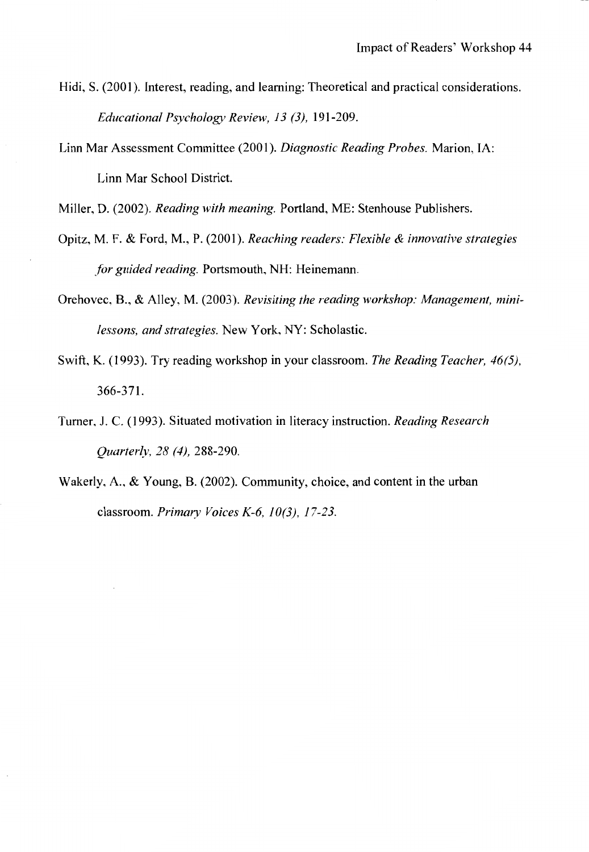- Hidi, S. (2001). Interest, reading, and learning: Theoretical and practical considerations. *Educational Psychology Review, 13 (3),* 191-209.
- Linn Mar Assessment Committee (2001). *Diagnostic Reading Probes.* Marion, IA: Linn Mar School District.

Miller, D. (2002). *Reading with meaning.* Portland, ME: Stenhouse Publishers.

- Opitz, M. F. & Ford, **M., P.** (2001). *Reaching readers: Flexible & innovative strategies for guided reading.* Portsmouth, NH: Heinemann.
- Orehovec, **B.,** & Alley, M. (2003). *Revisiting the reading workshop: Management, minilessons, and strategies.* New York, NY: Scholastic.
- Swift, K. (1993). Try reading workshop in your classroom. *The Reading Teacher, 46(5),*  366-371.
- Turner. J. C. (1993). Situated motivation in literacy instruction. *Reading Research Quarterly, 28 (4), 288-290.*
- Wakerly, A., & Young, B. (2002). Community, choice, and content in the urban classroom. *Primary Voices* K-6, *10(3), 17-23.*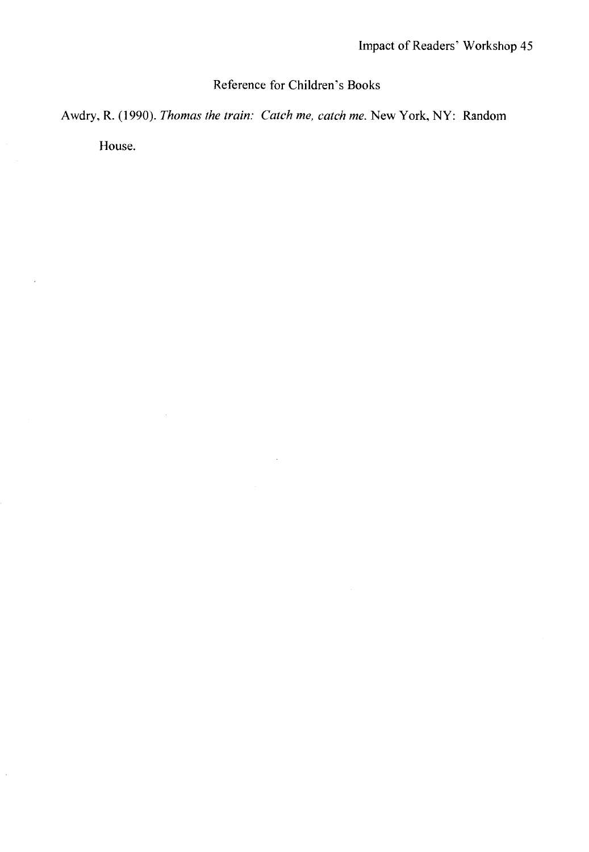## Reference for Children's Books

Awdry, R. (1990). *Thomas the train: Catch me, catch me.* New York, NY: Random

House.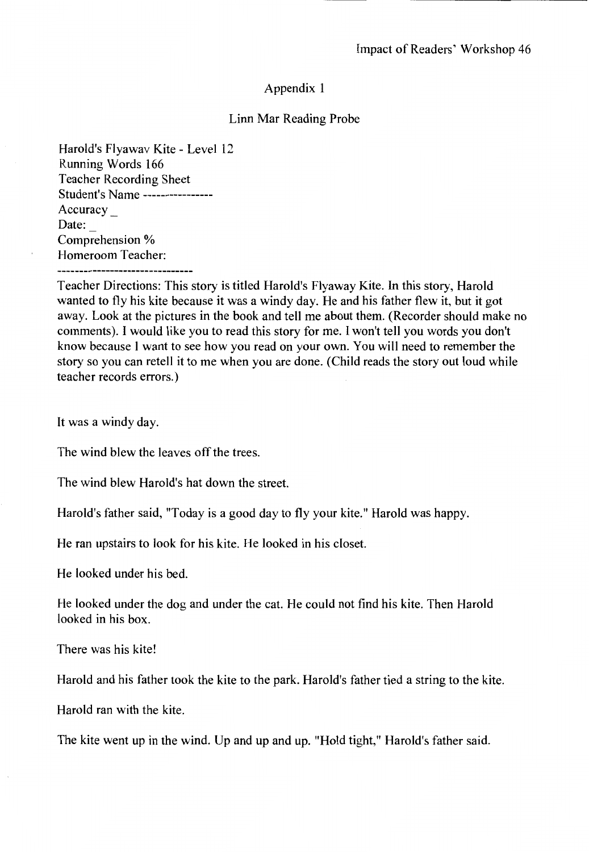#### Linn Mar Reading Probe

Harold's Flyawav Kite - Level 12 Running Words 166 Teacher Recording Sheet Student's Name---------------- Accuracy \_ Date: Comprehension % Homeroom Teacher:

Teacher Directions: This story is titled Harold's Flyaway Kite. In this story, Harold wanted to fly his kite because it was a windy day. He and his father flew it, but it got away. Look at the pictures in the book and tell me about them. (Recorder should make no comments). I would like you to read this story for me. I won't tell you words you don't know because I want to see how you read on your own. You will need to remember the story so you can retell it to me when you are done. (Child reads the story out loud while teacher records errors.)

It was a windy day.

The wind blew the leaves off the trees.

The wind blew Harold's hat down the street.

Harold's father said, "Today is a good day to fly your kite." Harold was happy.

He ran upstairs to look for his kite. He looked in his closet.

He looked under his bed.

He looked under the dog and under the cat. He could not find his kite. Then Harold looked in his box.

There was his kite!

Harold and his father took the kite to the park. Harold's father tied a string to the kite.

Harold ran with the kite.

The kite went up in the wind. Up and up and up. "Hold tight," Harold's father said.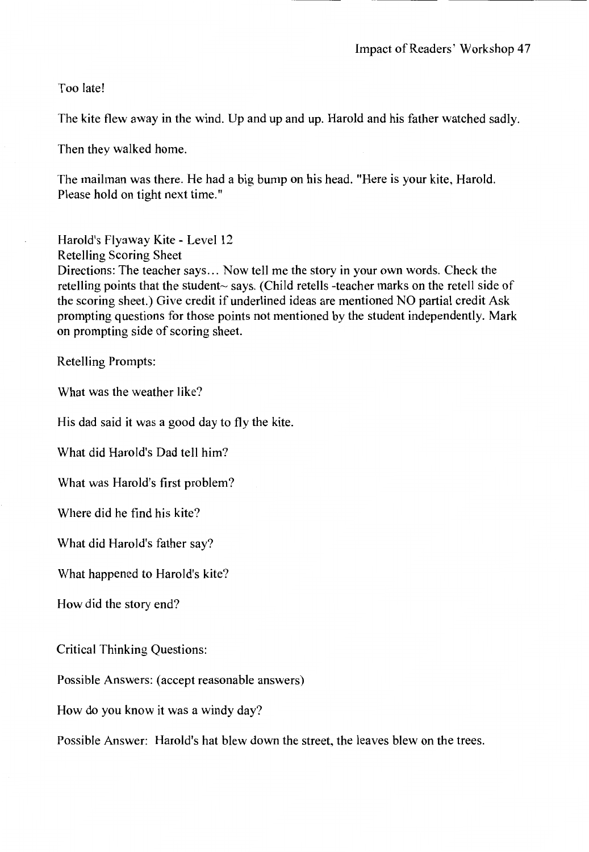Too late!

The kite flew away in the wind. Up and up and up. Harold and his father watched sadly.

Then they walked home.

The mailman was there. He had a big bump on his head. "Here is your kite, Harold. Please hold on tight next time."

Harold's Flyaway Kite - Level 12 Retelling Scoring Sheet Directions: The teacher says ... Now tell me the story in your own words. Check the retelling points that the student~ says. (Child retells -teacher marks on the retell side of the scoring sheet.) Give credit if underlined ideas are mentioned NO partial credit Ask prompting questions for those points not mentioned by the student independently. Mark on prompting side of scoring sheet.

Retelling Prompts:

What was the weather like?

His dad said it was a good day to fly the kite.

What did Harold's Dad tell him?

What was Harold's first problem?

Where did he find his kite?

What did Harold's father say?

What happened to Harold's kite?

How did the story end?

Critical Thinking Questions:

Possible Answers: (accept reasonable answers)

How do you know it was a windy day?

Possible Answer: Harold's hat blew down the street, the leaves blew on the trees.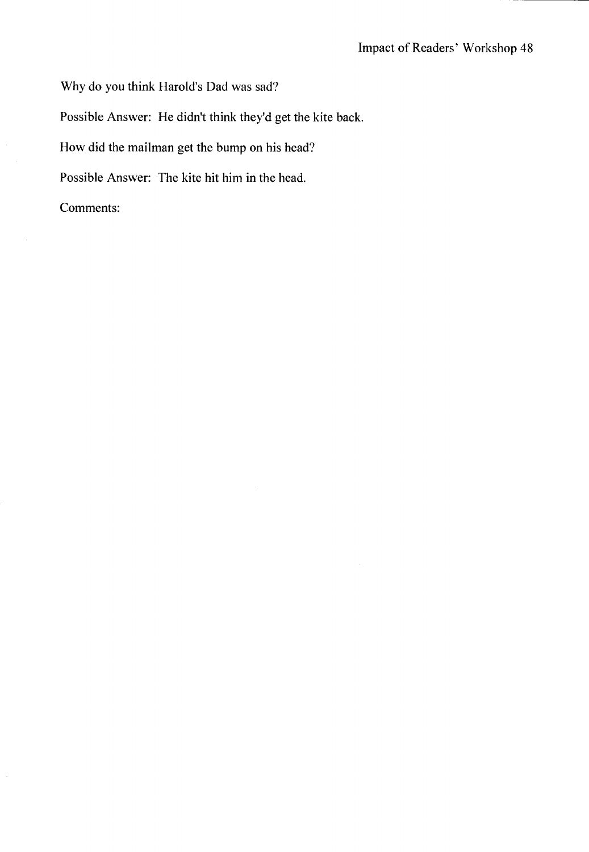Why do you think Harold's Dad was sad?

Possible Answer: He didn't think they'd get the kite back.

How did the mailman get the bump on his head?

Possible Answer: The kite hit him in the head.

Comments:

 $\bar{z}$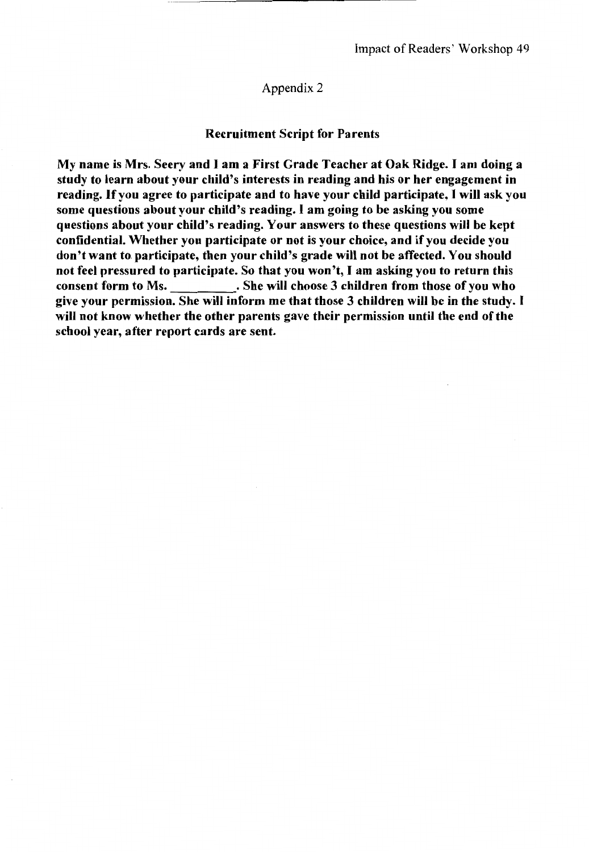#### Recruitment Script for Parents

My name is Mrs. Seery and I am a First Grade Teacher at Oak Ridge. I am doing a study to learn about your child's interests in reading and his or her engagement in reading. If you agree to participate and to have your child participate, I will ask you some questions about your child's reading. I am going to be asking you some questions about your child's reading. Your answers to these questions will be kept confidential. Whether you participate or not is your choice, and if you decide you don't want to participate, then your child's grade will not be affected. You should not feel pressured to participate. So that you won't, I am asking you to return this consent form to Ms. She will choose 3 children from those of you who give your permission. She will inform me that those 3 children will be in the study. I will not know whether the other parents gave their permission until the end of the school year, after report cards are sent.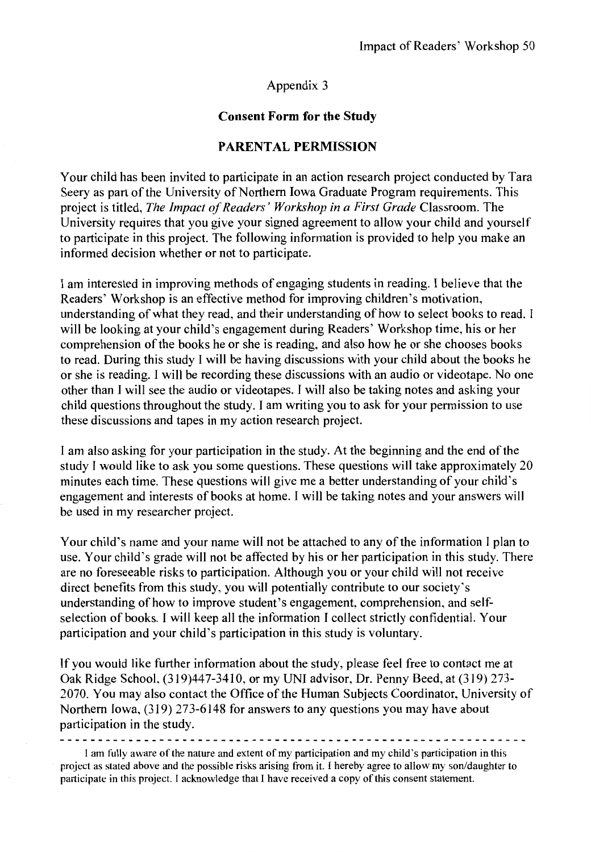#### **Consent Form for the Study**

#### **PARENTAL PERMISSION**

Your child has been invited to participate in an action research project conducted by Tara Seery as part of the University of Northern Iowa Graduate Program requirements. This project is titled, *The Impact of Readers' Workshop in a First Grade* Classroom. The University requires that you give your signed agreement to allow your child and yourself to participate in this project. The following information is provided to help you make an informed decision whether or not to participate.

I am interested in improving methods of engaging students in reading. I believe that the Readers' Workshop is an effective method for improving children's motivation, understanding of what they read, and their understanding of how to select books to read. I will be looking at your child's engagement during Readers' Workshop time, his or her comprehension of the books he or she is reading, and also how he or she chooses books to read. During this study I will be having discussions with your child about the books he or she is reading. I will be recording these discussions with an audio or videotape. No one other than I will see the audio or videotapes. I will also be taking notes and asking your child questions throughout the study. I am writing you to ask for your permission to use these discussions and tapes in my action research project.

I am also asking for your participation in the study. At the beginning and the end of the study I would like to ask you some questions. These questions will take approximately 20 minutes each time. These questions will give me a better understanding of your child's engagement and interests of books at home. I will be taking notes and your answers will be used in my researcher project.

Your child's name and your name will not be attached to any of the information I plan to use. Your child's grade will not be affected by his or her participation in this study. There are no foreseeable risks to participation. Although you or your child will not receive direct benefits from this study, you will potentially contribute to our society's understanding of how to improve student's engagement, comprehension, and selfselection of books. I will keep all the information I collect strictly confidential. Your participation and your child's participation in this study is voluntary.

If you would like further information about the study, please feel free to contact me at Oak Ridge School, (319)44 7-3410, or my UNI advisor, Dr. Penny Beed, at (319) 273- 2070. You may also contact the Office of the Human Subjects Coordinator, University of Northern Iowa, (319) 273-6148 for answers to any questions you may have about participation in the study.

I am fully aware of the nature and extent of my participation and my child's participation in this project as stated above and the possible risks arising from it. I hereby agree to allow my son/daughter to participate in this project. I acknowledge that I have received a copy ofthis consent statement.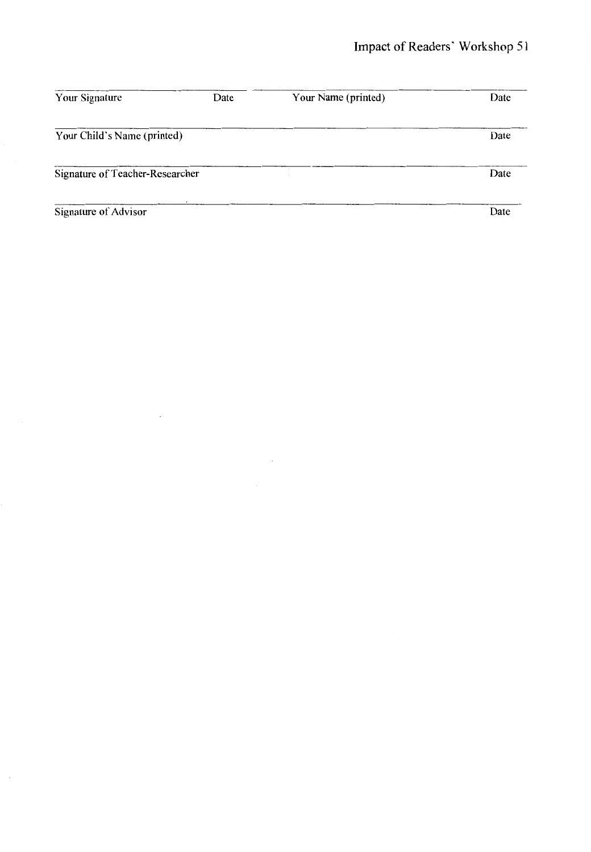| Your Signature                  | Date | Your Name (printed) | Date |
|---------------------------------|------|---------------------|------|
| Your Child's Name (printed)     |      |                     | Date |
| Signature of Teacher-Researcher |      |                     | Date |
| Signature of Advisor            |      |                     | Date |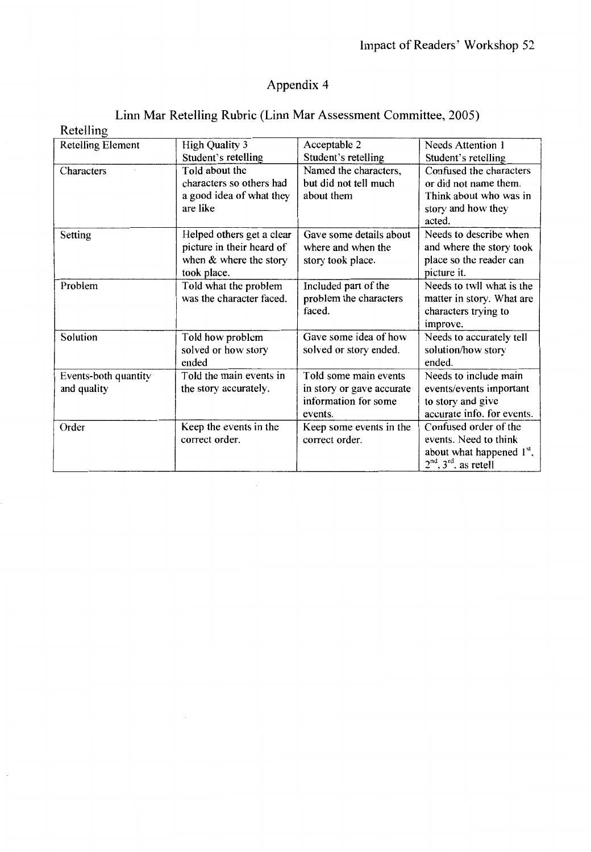## Linn Mar Retelling Rubric (Linn Mar Assessment Committee, 2005)

| Retelling                |                           |                           |                             |
|--------------------------|---------------------------|---------------------------|-----------------------------|
| <b>Retelling Element</b> | <b>High Quality 3</b>     | Acceptable 2              | <b>Needs Attention 1</b>    |
|                          | Student's retelling       | Student's retelling       | Student's retelling         |
| Characters               | Told about the            | Named the characters,     | Confused the characters     |
|                          | characters so others had  | but did not tell much     | or did not name them.       |
|                          | a good idea of what they  | about them                | Think about who was in      |
|                          | are like                  |                           | story and how they          |
|                          |                           |                           | acted.                      |
| Setting                  | Helped others get a clear | Gave some details about   | Needs to describe when      |
|                          | picture in their heard of | where and when the        | and where the story took    |
|                          | when & where the story    | story took place.         | place so the reader can     |
|                          | took place.               |                           | picture it.                 |
| Problem                  | Told what the problem     | Included part of the      | Needs to twll what is the   |
|                          | was the character faced.  | problem the characters    | matter in story. What are   |
|                          |                           | faced.                    | characters trying to        |
|                          |                           |                           | improve.                    |
| Solution                 | Told how problem          | Gave some idea of how     | Needs to accurately tell    |
|                          | solved or how story       | solved or story ended.    | solution/how story          |
|                          | ended                     |                           | ended.                      |
| Events-both quantity     | Told the main events in   | Told some main events     | Needs to include main       |
| and quality              | the story accurately.     | in story or gave accurate | events/events important     |
|                          |                           | information for some      | to story and give           |
|                          |                           | events.                   | accurate info. for events.  |
| Order                    | Keep the events in the    | Keep some events in the   | Confused order of the       |
|                          | correct order.            | correct order.            | events. Need to think       |
|                          |                           |                           | about what happened $1st$ , |
|                          |                           |                           | $2nd$ , $3rd$ , as retell   |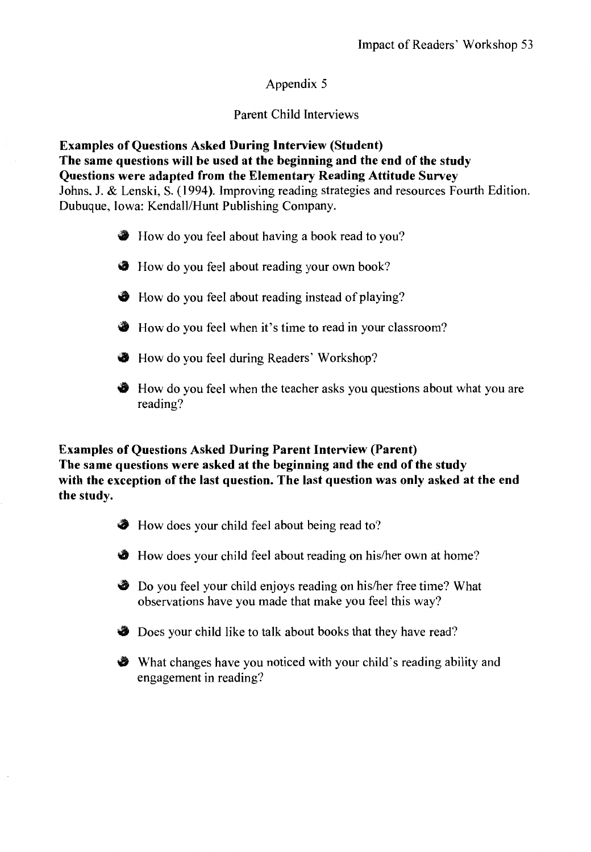### Parent Child Interviews

**Examples of Questions Asked During Interview (Student) The same questions will be used at the beginning and the end of the study Questions were adapted from the Elementary Reading Attitude Survey**  Johns. J. & Lenski, S. (1994). Improving reading strategies and resources Fourth Edition. Dubuque, Iowa: Kendall/Hunt Publishing Company.

- How do you feel about having a book read to you?
- **The How do you feel about reading your own book?**
- How do you feel about reading instead of playing?
- How do you feel when it's time to read in your classroom?
- How do you feel during Readers' Workshop?
- How do you feel when the teacher asks you questions about what you are reading?

#### **Examples of Questions Asked During Parent Interview (Parent) The same questions were asked at the beginning and the end of the study with the exception of the last question. The last question was only asked at the end the study.**

- How does your child feel about being read to?
- How does your child feel about reading on his/her own at home?
- Do you feel your child enjoys reading on his/her free time? What observations have you made that make you feel this way?
- **Does your child like to talk about books that they have read?**
- What changes have you noticed with your child's reading ability and engagement in reading?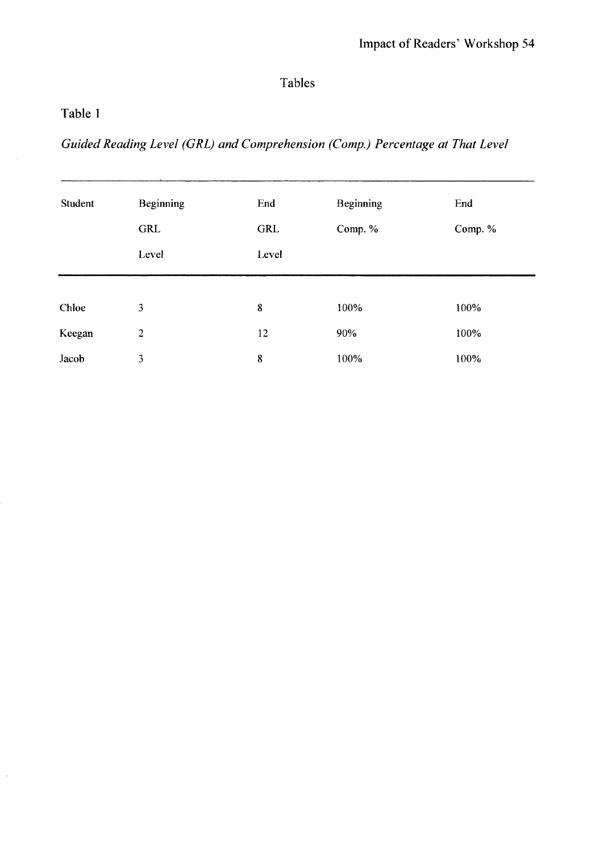## Tables

## Table 1

 $\cdot$ 

*Guided Reading Level (GRL) and Comprehension (Comp.) Percentage at That Level* 

| Student | <b>Beginning</b> | End   | <b>Beginning</b> | End     |
|---------|------------------|-------|------------------|---------|
|         | GRL              | GRL   | Comp. %          | Comp. % |
|         | Level            | Level |                  |         |
|         |                  |       |                  |         |
| Chloe   | 3                | 8     | 100%             | 100%    |
| Keegan  | $\overline{c}$   | 12    | 90%              | 100%    |
| Jacob   | 3                | 8     | 100%             | 100%    |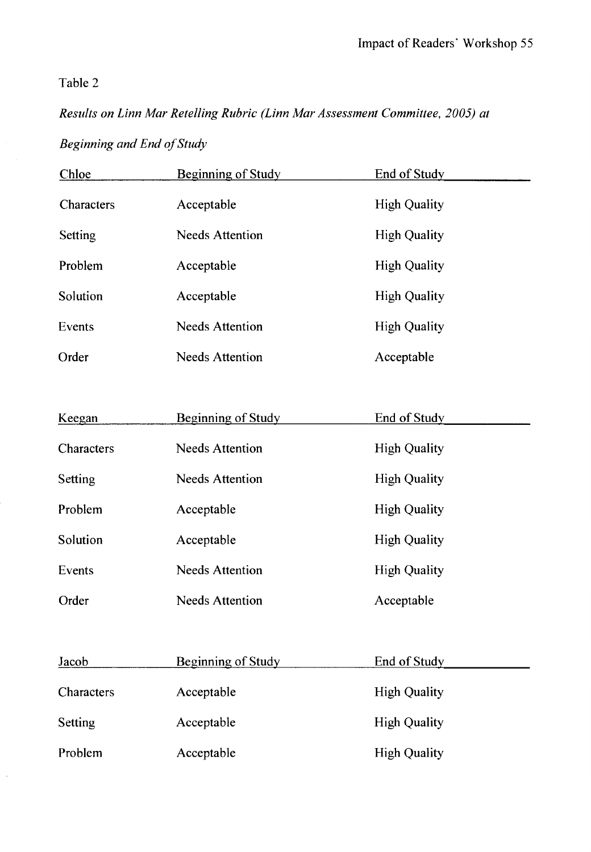## Table 2

 $\bar{z}$ 

## *Results on Linn Mar Retelling Rubric (Linn Mar Assessment Committee, 2005) at*

## *Beginning and End of Study*

| Chloe      | <b>Beginning of Study</b> | End of Study        |
|------------|---------------------------|---------------------|
| Characters | Acceptable                | <b>High Quality</b> |
| Setting    | <b>Needs Attention</b>    | <b>High Quality</b> |
| Problem    | Acceptable                | <b>High Quality</b> |
| Solution   | Acceptable                | <b>High Quality</b> |
| Events     | <b>Needs Attention</b>    | <b>High Quality</b> |
| Order      | <b>Needs Attention</b>    | Acceptable          |
|            |                           |                     |
| Keegan     | <b>Beginning of Study</b> | End of Study        |
| Characters | <b>Needs Attention</b>    | <b>High Quality</b> |
| Setting    | <b>Needs Attention</b>    | <b>High Quality</b> |
| Problem    | Acceptable                | <b>High Quality</b> |
| Solution   | Acceptable                | <b>High Quality</b> |
| Events     | <b>Needs Attention</b>    | <b>High Quality</b> |
| Order      | <b>Needs Attention</b>    | Acceptable          |
|            |                           |                     |
| Jacob      | <b>Beginning of Study</b> | End of Study        |
| Characters | Acceptable                | <b>High Quality</b> |
| Setting    | Acceptable                | <b>High Quality</b> |
| Problem    | Acceptable                | <b>High Quality</b> |